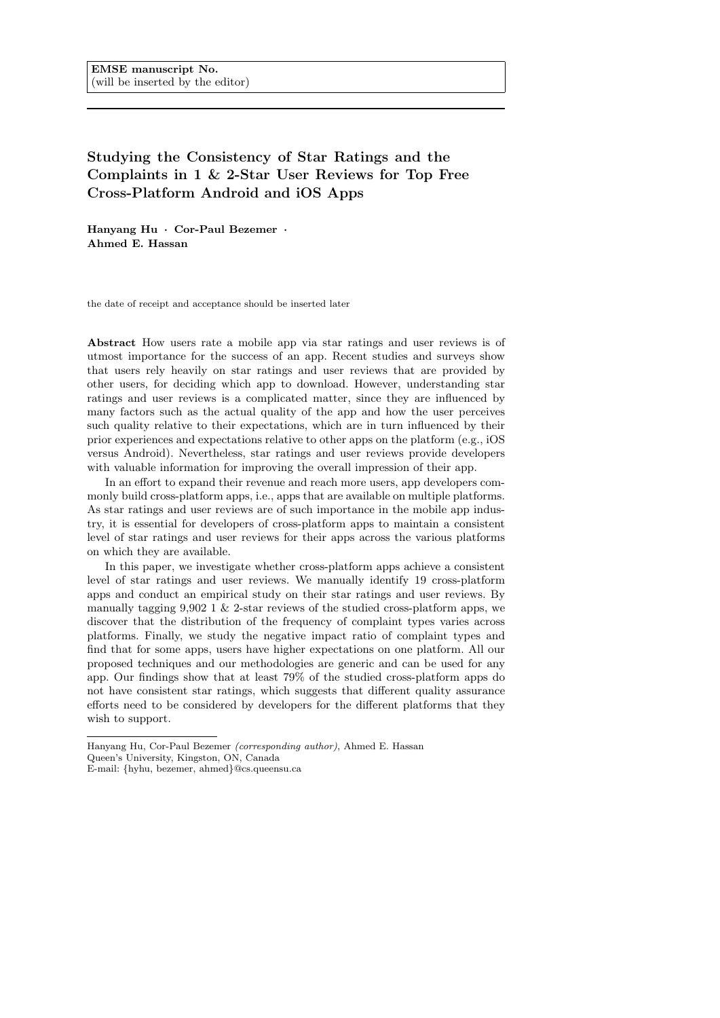# <span id="page-0-0"></span>Studying the Consistency of Star Ratings and the Complaints in 1 & 2-Star User Reviews for Top Free Cross-Platform Android and iOS Apps

Hanyang Hu · Cor-Paul Bezemer · Ahmed E. Hassan

the date of receipt and acceptance should be inserted later

Abstract How users rate a mobile app via star ratings and user reviews is of utmost importance for the success of an app. Recent studies and surveys show that users rely heavily on star ratings and user reviews that are provided by other users, for deciding which app to download. However, understanding star ratings and user reviews is a complicated matter, since they are influenced by many factors such as the actual quality of the app and how the user perceives such quality relative to their expectations, which are in turn influenced by their prior experiences and expectations relative to other apps on the platform (e.g., iOS versus Android). Nevertheless, star ratings and user reviews provide developers with valuable information for improving the overall impression of their app.

In an effort to expand their revenue and reach more users, app developers commonly build cross-platform apps, i.e., apps that are available on multiple platforms. As star ratings and user reviews are of such importance in the mobile app industry, it is essential for developers of cross-platform apps to maintain a consistent level of star ratings and user reviews for their apps across the various platforms on which they are available.

In this paper, we investigate whether cross-platform apps achieve a consistent level of star ratings and user reviews. We manually identify 19 cross-platform apps and conduct an empirical study on their star ratings and user reviews. By manually tagging 9,902 1  $\&$  2-star reviews of the studied cross-platform apps, we discover that the distribution of the frequency of complaint types varies across platforms. Finally, we study the negative impact ratio of complaint types and find that for some apps, users have higher expectations on one platform. All our proposed techniques and our methodologies are generic and can be used for any app. Our findings show that at least 79% of the studied cross-platform apps do not have consistent star ratings, which suggests that different quality assurance efforts need to be considered by developers for the different platforms that they wish to support.

Hanyang Hu, Cor-Paul Bezemer (corresponding author), Ahmed E. Hassan

Queen's University, Kingston, ON, Canada

E-mail: {hyhu, bezemer, ahmed}@cs.queensu.ca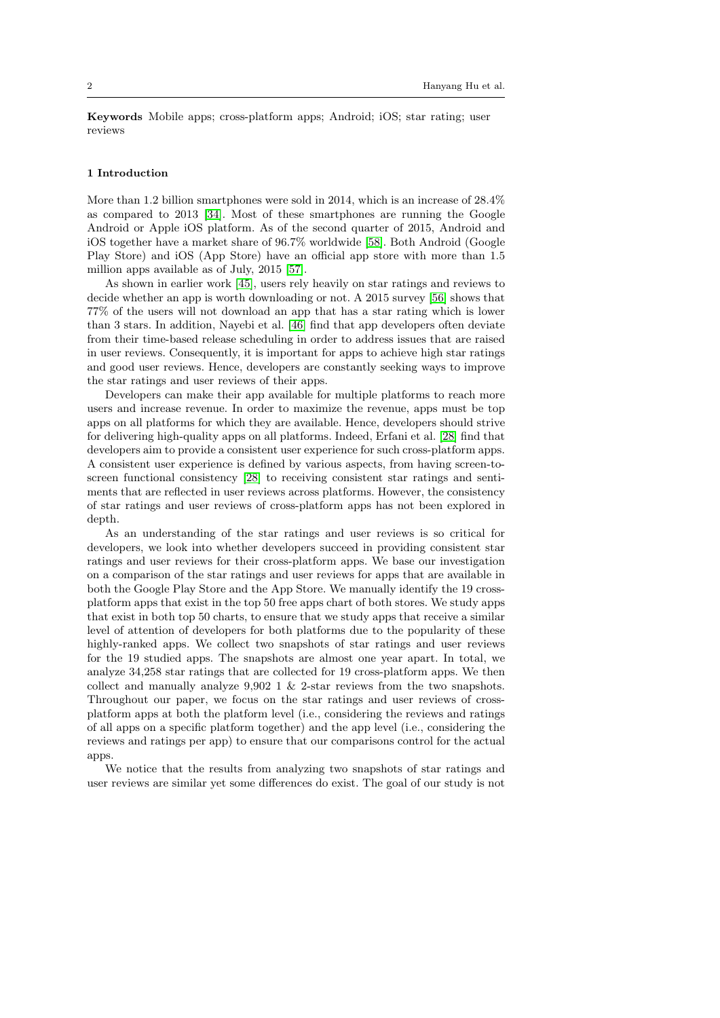Keywords Mobile apps; cross-platform apps; Android; iOS; star rating; user reviews

#### 1 Introduction

More than 1.2 billion smartphones were sold in 2014, which is an increase of  $28.4\%$ as compared to 2013 [\[34\]](#page-31-0). Most of these smartphones are running the Google Android or Apple iOS platform. As of the second quarter of 2015, Android and iOS together have a market share of 96.7% worldwide [\[58\]](#page-32-0). Both Android (Google Play Store) and iOS (App Store) have an official app store with more than 1.5 million apps available as of July, 2015 [\[57\]](#page-32-1).

As shown in earlier work [\[45\]](#page-32-2), users rely heavily on star ratings and reviews to decide whether an app is worth downloading or not. A 2015 survey [\[56\]](#page-32-3) shows that 77% of the users will not download an app that has a star rating which is lower than 3 stars. In addition, Nayebi et al. [\[46\]](#page-32-4) find that app developers often deviate from their time-based release scheduling in order to address issues that are raised in user reviews. Consequently, it is important for apps to achieve high star ratings and good user reviews. Hence, developers are constantly seeking ways to improve the star ratings and user reviews of their apps.

Developers can make their app available for multiple platforms to reach more users and increase revenue. In order to maximize the revenue, apps must be top apps on all platforms for which they are available. Hence, developers should strive for delivering high-quality apps on all platforms. Indeed, Erfani et al. [\[28\]](#page-31-1) find that developers aim to provide a consistent user experience for such cross-platform apps. A consistent user experience is defined by various aspects, from having screen-toscreen functional consistency [\[28\]](#page-31-1) to receiving consistent star ratings and sentiments that are reflected in user reviews across platforms. However, the consistency of star ratings and user reviews of cross-platform apps has not been explored in depth.

As an understanding of the star ratings and user reviews is so critical for developers, we look into whether developers succeed in providing consistent star ratings and user reviews for their cross-platform apps. We base our investigation on a comparison of the star ratings and user reviews for apps that are available in both the Google Play Store and the App Store. We manually identify the 19 crossplatform apps that exist in the top 50 free apps chart of both stores. We study apps that exist in both top 50 charts, to ensure that we study apps that receive a similar level of attention of developers for both platforms due to the popularity of these highly-ranked apps. We collect two snapshots of star ratings and user reviews for the 19 studied apps. The snapshots are almost one year apart. In total, we analyze 34,258 star ratings that are collected for 19 cross-platform apps. We then collect and manually analyze 9,902 1 & 2-star reviews from the two snapshots. Throughout our paper, we focus on the star ratings and user reviews of crossplatform apps at both the platform level (i.e., considering the reviews and ratings of all apps on a specific platform together) and the app level (i.e., considering the reviews and ratings per app) to ensure that our comparisons control for the actual apps.

We notice that the results from analyzing two snapshots of star ratings and user reviews are similar yet some differences do exist. The goal of our study is not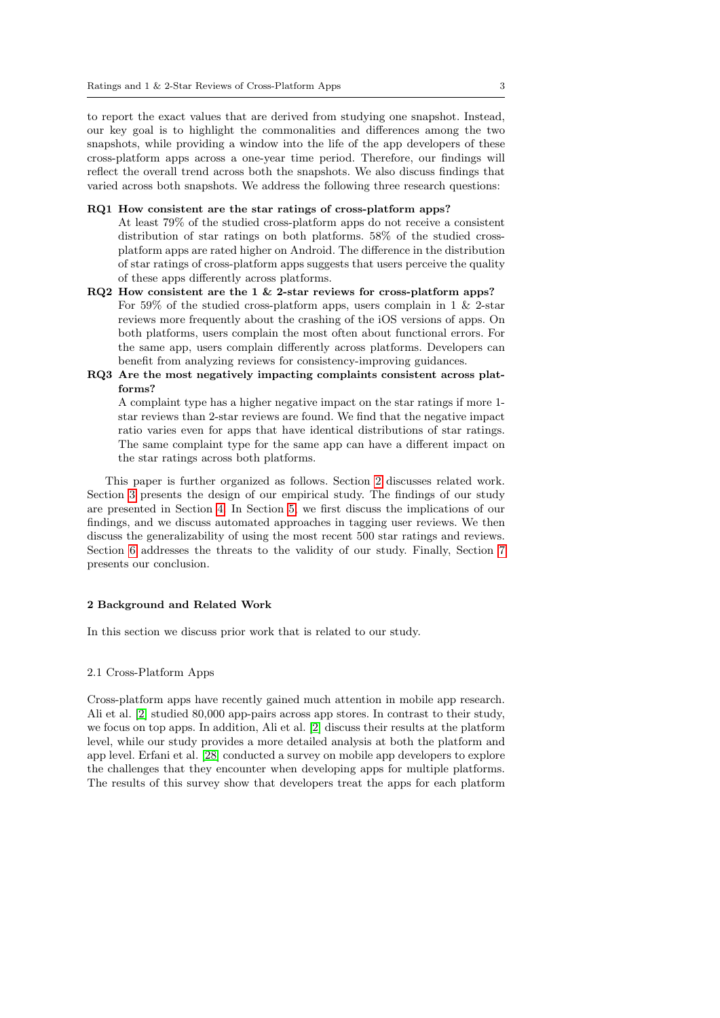to report the exact values that are derived from studying one snapshot. Instead, our key goal is to highlight the commonalities and differences among the two snapshots, while providing a window into the life of the app developers of these cross-platform apps across a one-year time period. Therefore, our findings will reflect the overall trend across both the snapshots. We also discuss findings that varied across both snapshots. We address the following three research questions:

### RQ1 How consistent are the star ratings of cross-platform apps?

At least 79% of the studied cross-platform apps do not receive a consistent distribution of star ratings on both platforms. 58% of the studied crossplatform apps are rated higher on Android. The difference in the distribution of star ratings of cross-platform apps suggests that users perceive the quality of these apps differently across platforms.

RQ2 How consistent are the 1  $\&$  2-star reviews for cross-platform apps? For 59% of the studied cross-platform apps, users complain in 1  $\&$  2-star reviews more frequently about the crashing of the iOS versions of apps. On both platforms, users complain the most often about functional errors. For the same app, users complain differently across platforms. Developers can benefit from analyzing reviews for consistency-improving guidances.

# RQ3 Are the most negatively impacting complaints consistent across platforms?

A complaint type has a higher negative impact on the star ratings if more 1 star reviews than 2-star reviews are found. We find that the negative impact ratio varies even for apps that have identical distributions of star ratings. The same complaint type for the same app can have a different impact on the star ratings across both platforms.

This paper is further organized as follows. Section [2](#page-2-0) discusses related work. Section [3](#page-5-0) presents the design of our empirical study. The findings of our study are presented in Section [4.](#page-7-0) In Section [5,](#page-22-0) we first discuss the implications of our findings, and we discuss automated approaches in tagging user reviews. We then discuss the generalizability of using the most recent 500 star ratings and reviews. Section [6](#page-26-0) addresses the threats to the validity of our study. Finally, Section [7](#page-29-0) presents our conclusion.

# <span id="page-2-0"></span>2 Background and Related Work

In this section we discuss prior work that is related to our study.

# 2.1 Cross-Platform Apps

Cross-platform apps have recently gained much attention in mobile app research. Ali et al. [\[2\]](#page-29-1) studied 80,000 app-pairs across app stores. In contrast to their study, we focus on top apps. In addition, Ali et al. [\[2\]](#page-29-1) discuss their results at the platform level, while our study provides a more detailed analysis at both the platform and app level. Erfani et al. [\[28\]](#page-31-1) conducted a survey on mobile app developers to explore the challenges that they encounter when developing apps for multiple platforms. The results of this survey show that developers treat the apps for each platform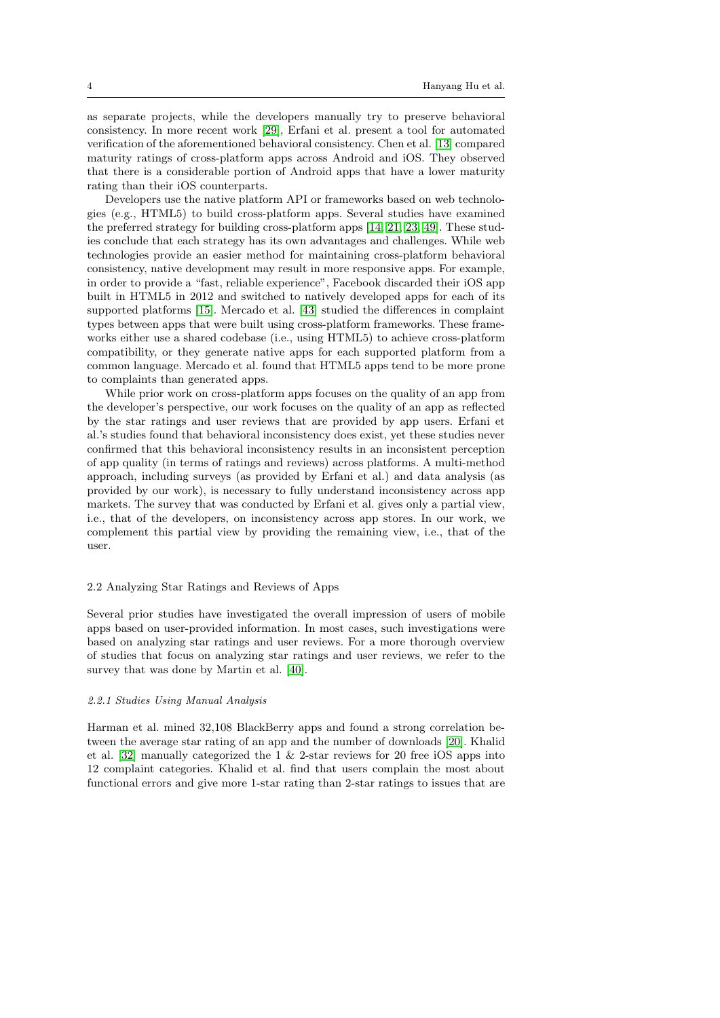as separate projects, while the developers manually try to preserve behavioral consistency. In more recent work [\[29\]](#page-31-2), Erfani et al. present a tool for automated verification of the aforementioned behavioral consistency. Chen et al. [\[13\]](#page-30-0) compared maturity ratings of cross-platform apps across Android and iOS. They observed that there is a considerable portion of Android apps that have a lower maturity rating than their iOS counterparts.

Developers use the native platform API or frameworks based on web technologies (e.g., HTML5) to build cross-platform apps. Several studies have examined the preferred strategy for building cross-platform apps [\[14,](#page-30-1) [21,](#page-30-2) [23,](#page-30-3) [49\]](#page-32-5). These studies conclude that each strategy has its own advantages and challenges. While web technologies provide an easier method for maintaining cross-platform behavioral consistency, native development may result in more responsive apps. For example, in order to provide a "fast, reliable experience", Facebook discarded their iOS app built in HTML5 in 2012 and switched to natively developed apps for each of its supported platforms [\[15\]](#page-30-4). Mercado et al. [\[43\]](#page-32-6) studied the differences in complaint types between apps that were built using cross-platform frameworks. These frameworks either use a shared codebase (i.e., using HTML5) to achieve cross-platform compatibility, or they generate native apps for each supported platform from a common language. Mercado et al. found that HTML5 apps tend to be more prone to complaints than generated apps.

While prior work on cross-platform apps focuses on the quality of an app from the developer's perspective, our work focuses on the quality of an app as reflected by the star ratings and user reviews that are provided by app users. Erfani et al.'s studies found that behavioral inconsistency does exist, yet these studies never confirmed that this behavioral inconsistency results in an inconsistent perception of app quality (in terms of ratings and reviews) across platforms. A multi-method approach, including surveys (as provided by Erfani et al.) and data analysis (as provided by our work), is necessary to fully understand inconsistency across app markets. The survey that was conducted by Erfani et al. gives only a partial view, i.e., that of the developers, on inconsistency across app stores. In our work, we complement this partial view by providing the remaining view, i.e., that of the user.

### 2.2 Analyzing Star Ratings and Reviews of Apps

Several prior studies have investigated the overall impression of users of mobile apps based on user-provided information. In most cases, such investigations were based on analyzing star ratings and user reviews. For a more thorough overview of studies that focus on analyzing star ratings and user reviews, we refer to the survey that was done by Martin et al. [\[40\]](#page-31-3).

### 2.2.1 Studies Using Manual Analysis

Harman et al. mined 32,108 BlackBerry apps and found a strong correlation between the average star rating of an app and the number of downloads [\[20\]](#page-30-5). Khalid et al. [\[32\]](#page-31-4) manually categorized the 1 & 2-star reviews for 20 free iOS apps into 12 complaint categories. Khalid et al. find that users complain the most about functional errors and give more 1-star rating than 2-star ratings to issues that are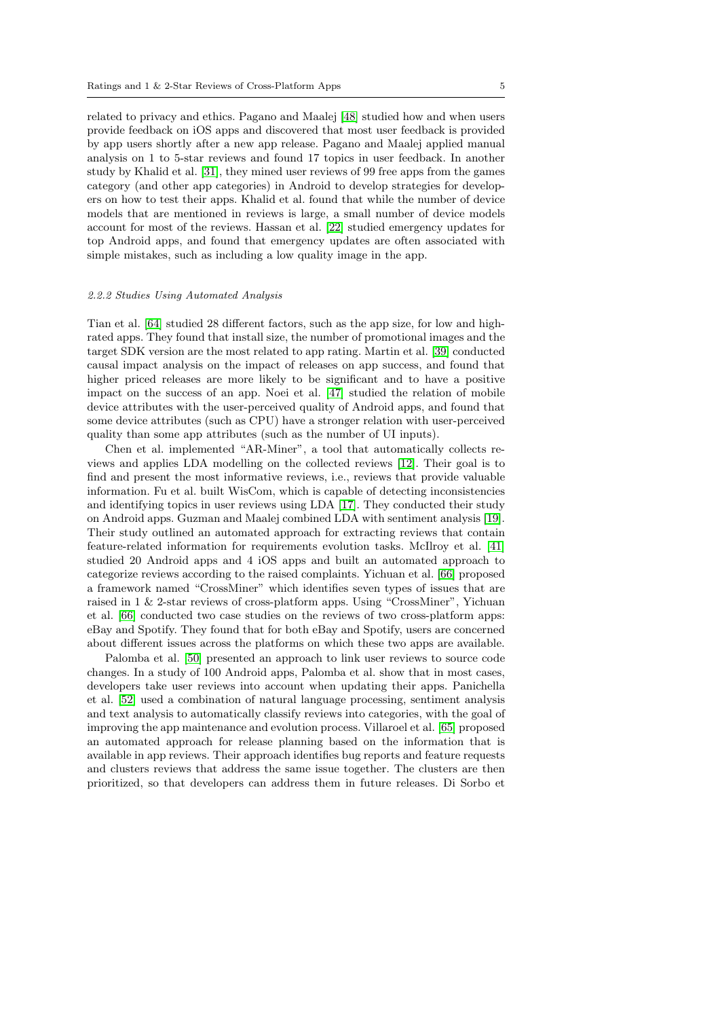related to privacy and ethics. Pagano and Maalej [\[48\]](#page-32-7) studied how and when users provide feedback on iOS apps and discovered that most user feedback is provided by app users shortly after a new app release. Pagano and Maalej applied manual analysis on 1 to 5-star reviews and found 17 topics in user feedback. In another study by Khalid et al. [\[31\]](#page-31-5), they mined user reviews of 99 free apps from the games category (and other app categories) in Android to develop strategies for developers on how to test their apps. Khalid et al. found that while the number of device models that are mentioned in reviews is large, a small number of device models account for most of the reviews. Hassan et al. [\[22\]](#page-30-6) studied emergency updates for top Android apps, and found that emergency updates are often associated with simple mistakes, such as including a low quality image in the app.

### 2.2.2 Studies Using Automated Analysis

Tian et al. [\[64\]](#page-33-0) studied 28 different factors, such as the app size, for low and highrated apps. They found that install size, the number of promotional images and the target SDK version are the most related to app rating. Martin et al. [\[39\]](#page-31-6) conducted causal impact analysis on the impact of releases on app success, and found that higher priced releases are more likely to be significant and to have a positive impact on the success of an app. Noei et al. [\[47\]](#page-32-8) studied the relation of mobile device attributes with the user-perceived quality of Android apps, and found that some device attributes (such as CPU) have a stronger relation with user-perceived quality than some app attributes (such as the number of UI inputs).

Chen et al. implemented "AR-Miner", a tool that automatically collects reviews and applies LDA modelling on the collected reviews [\[12\]](#page-30-7). Their goal is to find and present the most informative reviews, i.e., reviews that provide valuable information. Fu et al. built WisCom, which is capable of detecting inconsistencies and identifying topics in user reviews using LDA [\[17\]](#page-30-8). They conducted their study on Android apps. Guzman and Maalej combined LDA with sentiment analysis [\[19\]](#page-30-9). Their study outlined an automated approach for extracting reviews that contain feature-related information for requirements evolution tasks. McIlroy et al. [\[41\]](#page-31-7) studied 20 Android apps and 4 iOS apps and built an automated approach to categorize reviews according to the raised complaints. Yichuan et al. [\[66\]](#page-33-1) proposed a framework named "CrossMiner" which identifies seven types of issues that are raised in 1 & 2-star reviews of cross-platform apps. Using "CrossMiner", Yichuan et al. [\[66\]](#page-33-1) conducted two case studies on the reviews of two cross-platform apps: eBay and Spotify. They found that for both eBay and Spotify, users are concerned about different issues across the platforms on which these two apps are available.

Palomba et al. [\[50\]](#page-32-9) presented an approach to link user reviews to source code changes. In a study of 100 Android apps, Palomba et al. show that in most cases, developers take user reviews into account when updating their apps. Panichella et al. [\[52\]](#page-32-10) used a combination of natural language processing, sentiment analysis and text analysis to automatically classify reviews into categories, with the goal of improving the app maintenance and evolution process. Villaroel et al. [\[65\]](#page-33-2) proposed an automated approach for release planning based on the information that is available in app reviews. Their approach identifies bug reports and feature requests and clusters reviews that address the same issue together. The clusters are then prioritized, so that developers can address them in future releases. Di Sorbo et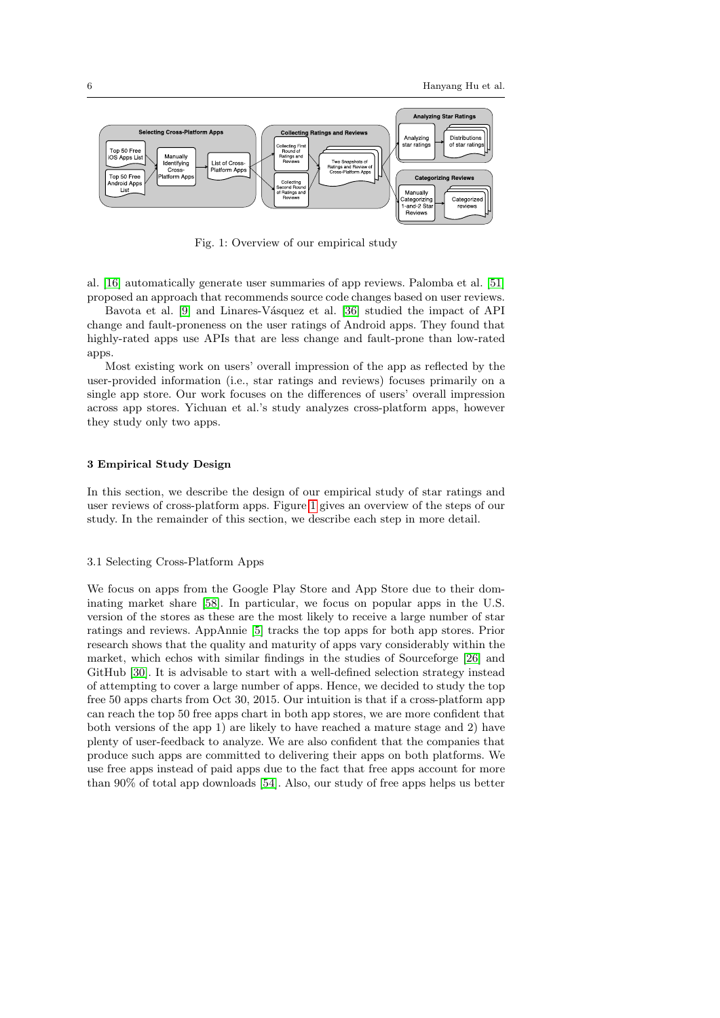<span id="page-5-1"></span>

Fig. 1: Overview of our empirical study

al. [\[16\]](#page-30-10) automatically generate user summaries of app reviews. Palomba et al. [\[51\]](#page-32-11) proposed an approach that recommends source code changes based on user reviews.

Bavota et al. [\[9\]](#page-30-11) and Linares-Vásquez et al. [\[36\]](#page-31-8) studied the impact of API change and fault-proneness on the user ratings of Android apps. They found that highly-rated apps use APIs that are less change and fault-prone than low-rated apps.

Most existing work on users' overall impression of the app as reflected by the user-provided information (i.e., star ratings and reviews) focuses primarily on a single app store. Our work focuses on the differences of users' overall impression across app stores. Yichuan et al.'s study analyzes cross-platform apps, however they study only two apps.

### <span id="page-5-0"></span>3 Empirical Study Design

In this section, we describe the design of our empirical study of star ratings and user reviews of cross-platform apps. Figure [1](#page-5-1) gives an overview of the steps of our study. In the remainder of this section, we describe each step in more detail.

# 3.1 Selecting Cross-Platform Apps

We focus on apps from the Google Play Store and App Store due to their dominating market share [\[58\]](#page-32-0). In particular, we focus on popular apps in the U.S. version of the stores as these are the most likely to receive a large number of star ratings and reviews. AppAnnie [\[5\]](#page-30-12) tracks the top apps for both app stores. Prior research shows that the quality and maturity of apps vary considerably within the market, which echos with similar findings in the studies of Sourceforge [\[26\]](#page-31-9) and GitHub [\[30\]](#page-31-10). It is advisable to start with a well-defined selection strategy instead of attempting to cover a large number of apps. Hence, we decided to study the top free 50 apps charts from Oct 30, 2015. Our intuition is that if a cross-platform app can reach the top 50 free apps chart in both app stores, we are more confident that both versions of the app 1) are likely to have reached a mature stage and 2) have plenty of user-feedback to analyze. We are also confident that the companies that produce such apps are committed to delivering their apps on both platforms. We use free apps instead of paid apps due to the fact that free apps account for more than 90% of total app downloads [\[54\]](#page-32-12). Also, our study of free apps helps us better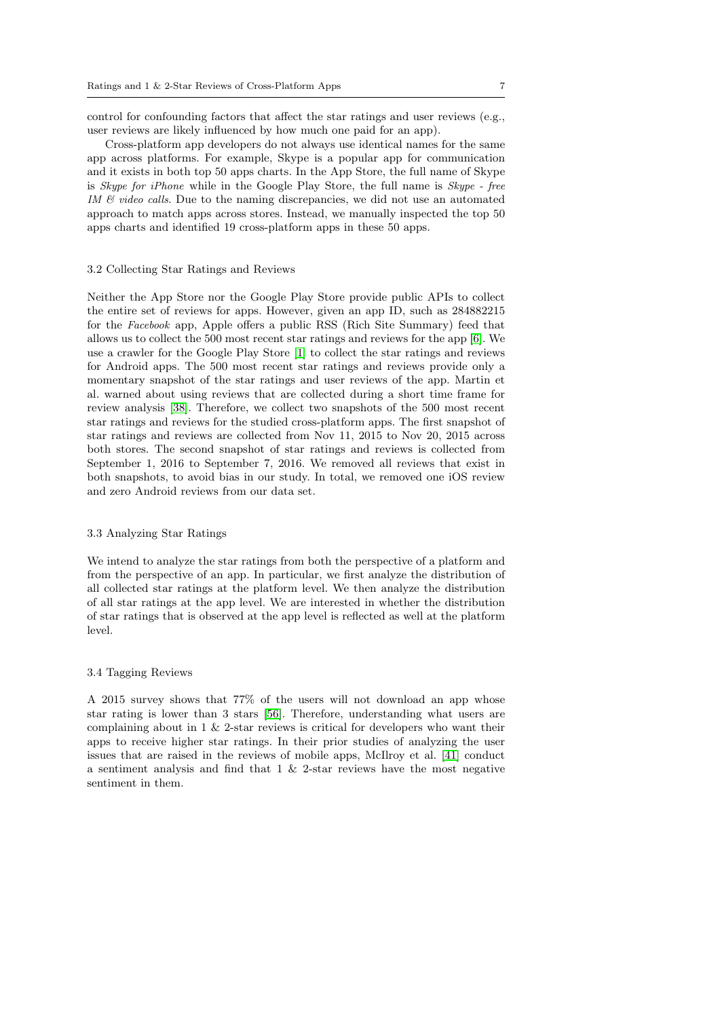control for confounding factors that affect the star ratings and user reviews (e.g., user reviews are likely influenced by how much one paid for an app).

Cross-platform app developers do not always use identical names for the same app across platforms. For example, Skype is a popular app for communication and it exists in both top 50 apps charts. In the App Store, the full name of Skype is *Skype for iPhone* while in the Google Play Store, the full name is *Skype - free* IM  $\mathcal{B}$  video calls. Due to the naming discrepancies, we did not use an automated approach to match apps across stores. Instead, we manually inspected the top 50 apps charts and identified 19 cross-platform apps in these 50 apps.

### <span id="page-6-0"></span>3.2 Collecting Star Ratings and Reviews

Neither the App Store nor the Google Play Store provide public APIs to collect the entire set of reviews for apps. However, given an app ID, such as 284882215 for the Facebook app, Apple offers a public RSS (Rich Site Summary) feed that allows us to collect the 500 most recent star ratings and reviews for the app [\[6\]](#page-30-13). We use a crawler for the Google Play Store [\[1\]](#page-29-2) to collect the star ratings and reviews for Android apps. The 500 most recent star ratings and reviews provide only a momentary snapshot of the star ratings and user reviews of the app. Martin et al. warned about using reviews that are collected during a short time frame for review analysis [\[38\]](#page-31-11). Therefore, we collect two snapshots of the 500 most recent star ratings and reviews for the studied cross-platform apps. The first snapshot of star ratings and reviews are collected from Nov 11, 2015 to Nov 20, 2015 across both stores. The second snapshot of star ratings and reviews is collected from September 1, 2016 to September 7, 2016. We removed all reviews that exist in both snapshots, to avoid bias in our study. In total, we removed one iOS review and zero Android reviews from our data set.

### 3.3 Analyzing Star Ratings

We intend to analyze the star ratings from both the perspective of a platform and from the perspective of an app. In particular, we first analyze the distribution of all collected star ratings at the platform level. We then analyze the distribution of all star ratings at the app level. We are interested in whether the distribution of star ratings that is observed at the app level is reflected as well at the platform level.

# 3.4 Tagging Reviews

A 2015 survey shows that 77% of the users will not download an app whose star rating is lower than 3 stars [\[56\]](#page-32-3). Therefore, understanding what users are complaining about in  $1 \& 2$ -star reviews is critical for developers who want their apps to receive higher star ratings. In their prior studies of analyzing the user issues that are raised in the reviews of mobile apps, McIlroy et al. [\[41\]](#page-31-7) conduct a sentiment analysis and find that  $1 \& 2$ -star reviews have the most negative sentiment in them.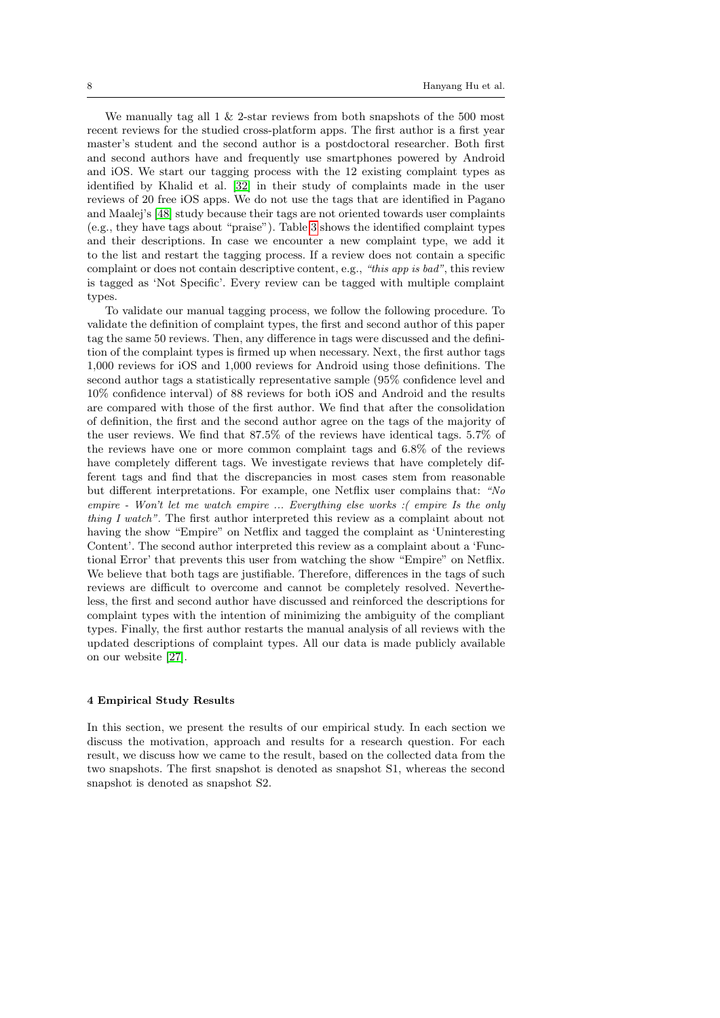We manually tag all  $1 \& 2$ -star reviews from both snapshots of the 500 most recent reviews for the studied cross-platform apps. The first author is a first year master's student and the second author is a postdoctoral researcher. Both first and second authors have and frequently use smartphones powered by Android and iOS. We start our tagging process with the 12 existing complaint types as identified by Khalid et al. [\[32\]](#page-31-4) in their study of complaints made in the user reviews of 20 free iOS apps. We do not use the tags that are identified in Pagano and Maalej's [\[48\]](#page-32-7) study because their tags are not oriented towards user complaints (e.g., they have tags about "praise"). Table [3](#page-13-0) shows the identified complaint types and their descriptions. In case we encounter a new complaint type, we add it to the list and restart the tagging process. If a review does not contain a specific complaint or does not contain descriptive content, e.g., "this app is bad", this review is tagged as 'Not Specific'. Every review can be tagged with multiple complaint types.

To validate our manual tagging process, we follow the following procedure. To validate the definition of complaint types, the first and second author of this paper tag the same 50 reviews. Then, any difference in tags were discussed and the definition of the complaint types is firmed up when necessary. Next, the first author tags 1,000 reviews for iOS and 1,000 reviews for Android using those definitions. The second author tags a statistically representative sample (95% confidence level and 10% confidence interval) of 88 reviews for both iOS and Android and the results are compared with those of the first author. We find that after the consolidation of definition, the first and the second author agree on the tags of the majority of the user reviews. We find that 87.5% of the reviews have identical tags. 5.7% of the reviews have one or more common complaint tags and 6.8% of the reviews have completely different tags. We investigate reviews that have completely different tags and find that the discrepancies in most cases stem from reasonable but different interpretations. For example, one Netflix user complains that: "No empire - Won't let me watch empire ... Everything else works :( empire Is the only thing I watch". The first author interpreted this review as a complaint about not having the show "Empire" on Netflix and tagged the complaint as 'Uninteresting Content'. The second author interpreted this review as a complaint about a 'Functional Error' that prevents this user from watching the show "Empire" on Netflix. We believe that both tags are justifiable. Therefore, differences in the tags of such reviews are difficult to overcome and cannot be completely resolved. Nevertheless, the first and second author have discussed and reinforced the descriptions for complaint types with the intention of minimizing the ambiguity of the compliant types. Finally, the first author restarts the manual analysis of all reviews with the updated descriptions of complaint types. All our data is made publicly available on our website [\[27\]](#page-31-12).

# <span id="page-7-0"></span>4 Empirical Study Results

In this section, we present the results of our empirical study. In each section we discuss the motivation, approach and results for a research question. For each result, we discuss how we came to the result, based on the collected data from the two snapshots. The first snapshot is denoted as snapshot S1, whereas the second snapshot is denoted as snapshot S2.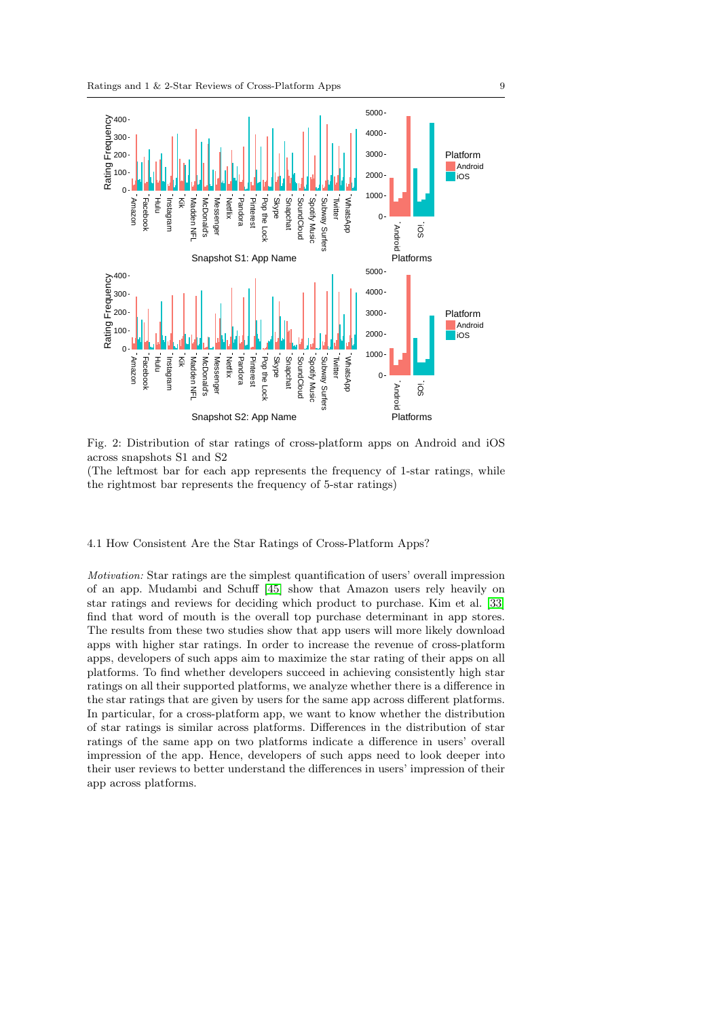<span id="page-8-0"></span>

Fig. 2: Distribution of star ratings of cross-platform apps on Android and iOS across snapshots S1 and S2

(The leftmost bar for each app represents the frequency of 1-star ratings, while the rightmost bar represents the frequency of 5-star ratings)

<span id="page-8-1"></span>4.1 How Consistent Are the Star Ratings of Cross-Platform Apps?

Motivation: Star ratings are the simplest quantification of users' overall impression of an app. Mudambi and Schuff [\[45\]](#page-32-2) show that Amazon users rely heavily on star ratings and reviews for deciding which product to purchase. Kim et al. [\[33\]](#page-31-13) find that word of mouth is the overall top purchase determinant in app stores. The results from these two studies show that app users will more likely download apps with higher star ratings. In order to increase the revenue of cross-platform apps, developers of such apps aim to maximize the star rating of their apps on all platforms. To find whether developers succeed in achieving consistently high star ratings on all their supported platforms, we analyze whether there is a difference in the star ratings that are given by users for the same app across different platforms. In particular, for a cross-platform app, we want to know whether the distribution of star ratings is similar across platforms. Differences in the distribution of star ratings of the same app on two platforms indicate a difference in users' overall impression of the app. Hence, developers of such apps need to look deeper into their user reviews to better understand the differences in users' impression of their app across platforms.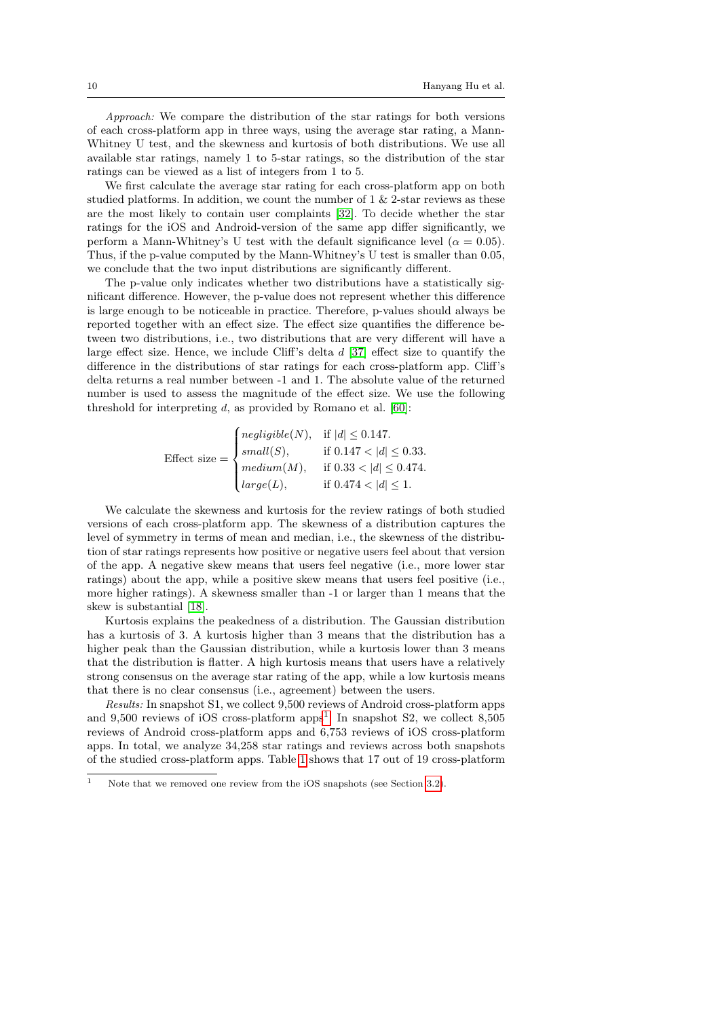Approach: We compare the distribution of the star ratings for both versions of each cross-platform app in three ways, using the average star rating, a Mann-Whitney U test, and the skewness and kurtosis of both distributions. We use all available star ratings, namely 1 to 5-star ratings, so the distribution of the star ratings can be viewed as a list of integers from 1 to 5.

We first calculate the average star rating for each cross-platform app on both studied platforms. In addition, we count the number of  $1 \& 2$ -star reviews as these are the most likely to contain user complaints [\[32\]](#page-31-4). To decide whether the star ratings for the iOS and Android-version of the same app differ significantly, we perform a Mann-Whitney's U test with the default significance level ( $\alpha = 0.05$ ). Thus, if the p-value computed by the Mann-Whitney's U test is smaller than 0.05, we conclude that the two input distributions are significantly different.

The p-value only indicates whether two distributions have a statistically significant difference. However, the p-value does not represent whether this difference is large enough to be noticeable in practice. Therefore, p-values should always be reported together with an effect size. The effect size quantifies the difference between two distributions, i.e., two distributions that are very different will have a large effect size. Hence, we include Cliff's delta  $d$  [\[37\]](#page-31-14) effect size to quantify the difference in the distributions of star ratings for each cross-platform app. Cliff's delta returns a real number between -1 and 1. The absolute value of the returned number is used to assess the magnitude of the effect size. We use the following threshold for interpreting  $d$ , as provided by Romano et al. [\[60\]](#page-32-13):

Effect size = 
$$
\begin{cases} negligible(N), & \text{if } |d| \leq 0.147. \\ small(S), & \text{if } 0.147 < |d| \leq 0.33. \\ medium(M), & \text{if } 0.33 < |d| \leq 0.474. \\ large(L), & \text{if } 0.474 < |d| \leq 1. \end{cases}
$$

We calculate the skewness and kurtosis for the review ratings of both studied versions of each cross-platform app. The skewness of a distribution captures the level of symmetry in terms of mean and median, i.e., the skewness of the distribution of star ratings represents how positive or negative users feel about that version of the app. A negative skew means that users feel negative (i.e., more lower star ratings) about the app, while a positive skew means that users feel positive (i.e., more higher ratings). A skewness smaller than -1 or larger than 1 means that the skew is substantial [\[18\]](#page-30-14).

Kurtosis explains the peakedness of a distribution. The Gaussian distribution has a kurtosis of 3. A kurtosis higher than 3 means that the distribution has a higher peak than the Gaussian distribution, while a kurtosis lower than 3 means that the distribution is flatter. A high kurtosis means that users have a relatively strong consensus on the average star rating of the app, while a low kurtosis means that there is no clear consensus (i.e., agreement) between the users.

Results: In snapshot S1, we collect 9,500 reviews of Android cross-platform apps and  $9,500$  reviews of iOS cross-platform apps<sup>[1](#page-0-0)</sup>. In snapshot S2, we collect  $8,505$ reviews of Android cross-platform apps and 6,753 reviews of iOS cross-platform apps. In total, we analyze 34,258 star ratings and reviews across both snapshots of the studied cross-platform apps. Table [1](#page-10-0) shows that 17 out of 19 cross-platform

<sup>&</sup>lt;sup>1</sup> Note that we removed one review from the iOS snapshots (see Section [3.2\)](#page-6-0).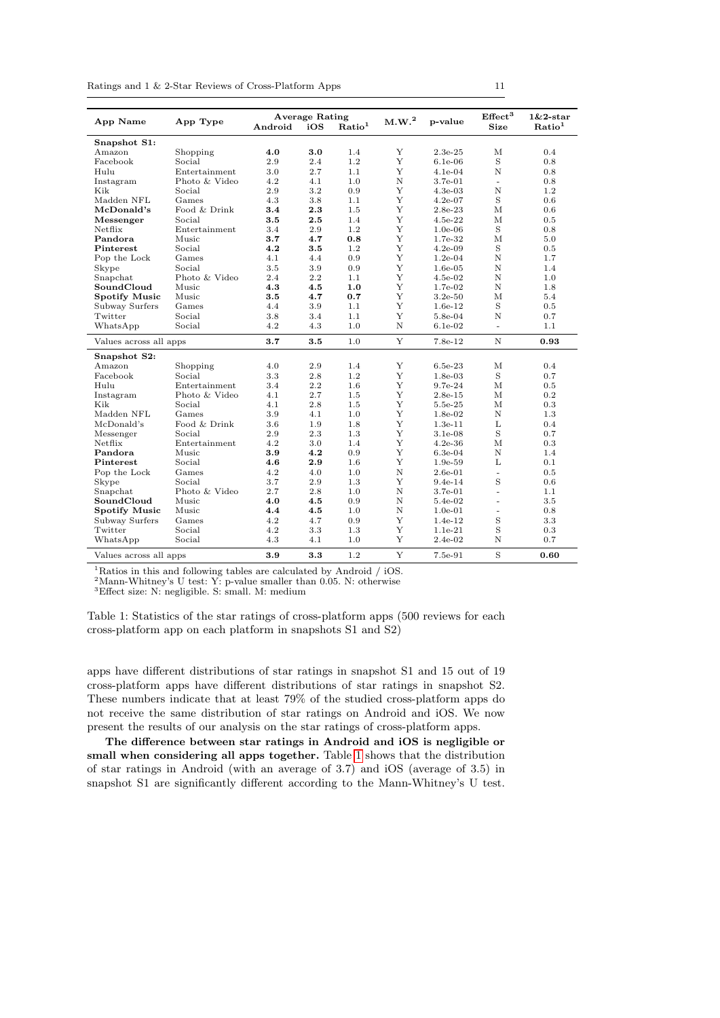Ratings and 1 & 2-Star Reviews of Cross-Platform Apps 11

<span id="page-10-0"></span>

| App Name               | App Type      | Android | <b>Average Rating</b><br>iOS | Ratio <sup>1</sup> | M.W. <sup>2</sup> | p-value   | $E \text{ffect}^3$<br>Size | $1\&2$ -star<br>Ratio <sup>1</sup> |
|------------------------|---------------|---------|------------------------------|--------------------|-------------------|-----------|----------------------------|------------------------------------|
|                        |               |         |                              |                    |                   |           |                            |                                    |
| Snapshot S1:           |               |         |                              |                    |                   |           |                            |                                    |
| Amazon                 | Shopping      | 4.0     | 3.0                          | 1.4                | Υ                 | $2.3e-25$ | М                          | 0.4                                |
| Facebook               | Social        | 2.9     | 2.4                          | 1.2                | Y                 | $6.1e-06$ | S                          | 0.8                                |
| Hulu                   | Entertainment | 3.0     | 2.7                          | 1.1                | Y                 | $4.1e-04$ | N                          | 0.8                                |
| Instagram              | Photo & Video | 4.2     | 4.1                          | 1.0                | N                 | $3.7e-01$ | $\bar{a}$                  | 0.8                                |
| Kik                    | Social        | 2.9     | 3.2                          | 0.9                | Y                 | $4.3e-03$ | $\mathbf N$                | 1.2                                |
| Madden NFL             | Games         | 4.3     | 3.8                          | 1.1                | Y                 | $4.2e-07$ | S                          | 0.6                                |
| McDonald's             | Food & Drink  | 3.4     | 2.3                          | 1.5                | Y                 | $2.8e-23$ | М                          | 0.6                                |
| Messenger              | Social        | 3.5     | 2.5                          | 1.4                | Y                 | $4.5e-22$ | М                          | 0.5                                |
| Netflix                | Entertainment | 3.4     | 2.9                          | 1.2                | Y                 | $1.0e-06$ | S                          | 0.8                                |
| Pandora                | Music         | 3.7     | 4.7                          | 0.8                | Y                 | 1.7e-32   | М                          | 5.0                                |
| Pinterest              | Social        | 4.2     | 3.5                          | 1.2                | Y                 | $4.2e-09$ | S                          | 0.5                                |
| Pop the Lock           | Games         | 4.1     | 4.4                          | 0.9                | Y                 | $1.2e-04$ | N                          | 1.7                                |
| Skype                  | Social        | 3.5     | 3.9                          | 0.9                | Y                 | $1.6e-05$ | $\mathbf N$                | 1.4                                |
| Snapchat               | Photo & Video | 2.4     | 2.2                          | 1.1                | Y                 | $4.5e-02$ | N                          | 1.0                                |
| SoundCloud             | Music         | 4.3     | $4.5\,$                      | 1.0                | Y                 | $1.7e-02$ | N                          | 1.8                                |
| <b>Spotify Music</b>   | Music         | 3.5     | 4.7                          | 0.7                | Y                 | $3.2e-50$ | М                          | 5.4                                |
| Subway Surfers         | Games         | 4.4     | 3.9                          | 1.1                | Y                 | $1.6e-12$ | S                          | 0.5                                |
| Twitter                | Social        | 3.8     | 3.4                          | 1.1                | Y                 | $5.8e-04$ | N                          | 0.7                                |
| WhatsApp               | Social        | 4.2     | 4.3                          | 1.0                | N                 | $6.1e-02$ | $\bar{\phantom{a}}$        | 1.1                                |
| Values across all apps |               | 3.7     | 3.5                          | 1.0                | Y                 | 7.8e-12   | N                          | 0.93                               |
| Snapshot S2:           |               |         |                              |                    |                   |           |                            |                                    |
| Amazon                 | Shopping      | 4.0     | 2.9                          | 1.4                | Y                 | $6.5e-23$ | М                          | 0.4                                |
| Facebook               | Social        | 3.3     | 2.8                          | 1.2                | Y                 | $1.8e-03$ | S                          | 0.7                                |
| Hulu                   | Entertainment | 3.4     | 2.2                          | 1.6                | Υ                 | 9.7e-24   | М                          | 0.5                                |
| Instagram              | Photo & Video | 4.1     | 2.7                          | 1.5                | Y                 | $2.8e-15$ | М                          | 0.2                                |
| Kik                    | Social        | 4.1     | 2.8                          | 1.5                | Υ                 | 5.5e-25   | М                          | 0.3                                |
| Madden NFL             | Games         | 3.9     | 4.1                          | 1.0                | Y                 | $1.8e-02$ | N                          | 1.3                                |
| McDonald's             | Food & Drink  | 3.6     | 1.9                          | 1.8                | Y                 | $1.3e-11$ | L                          | 0.4                                |
| Messenger              | Social        | 2.9     | 2.3                          | 1.3                | Y                 | $3.1e-08$ | S                          | 0.7                                |
| Netflix                | Entertainment | 4.2     | 3.0                          | 1.4                | Y                 | $4.2e-36$ | М                          | 0.3                                |
| Pandora                | Music         | 3.9     | 4.2                          | 0.9                | Υ                 | $6.3e-04$ | N                          | 1.4                                |
| Pinterest              | Social        | $4.6\,$ | 2.9                          | 1.6                | Y                 | $1.9e-59$ | L                          | 0.1                                |
| Pop the Lock           | Games         | 4.2     | 4.0                          | 1.0                | $\mathbf N$       | $2.6e-01$ | $\overline{\phantom{a}}$   | 0.5                                |
| Skype                  | Social        | 3.7     | 2.9                          | 1.3                | Y                 | $9.4e-14$ | S                          | 0.6                                |
| Snapchat               | Photo & Video | 2.7     | 2.8                          | 1.0                | N                 | 3.7e-01   | $\overline{\phantom{a}}$   | 1.1                                |
| SoundCloud             | Music         | 4.0     | 4.5                          | 0.9                | $\mathbf N$       | 5.4e-02   | ÷.                         | 3.5                                |
| <b>Spotify Music</b>   | Music         | 4.4     | 4.5                          | 1.0                | N                 | $1.0e-01$ | $\overline{\phantom{a}}$   | 0.8                                |
| Subway Surfers         | Games         | 4.2     | 4.7                          | 0.9                | Y                 | $1.4e-12$ | S                          | 3.3                                |
| Twitter                | Social        | 4.2     | 3.3                          | 1.3                | Y                 | $1.1e-21$ | S                          | 0.3                                |
|                        | Social        | 4.3     | 4.1                          | 1.0                | Y                 | $2.4e-02$ | N                          | 0.7                                |
| WhatsApp               |               |         |                              |                    |                   |           |                            |                                    |
| Values across all apps |               | 3.9     | 3.3                          | 1.2                | Y                 | 7.5e-91   | S                          | 0.60                               |

<sup>1</sup>Ratios in this and following tables are calculated by Android / iOS.

 $2$ Mann-Whitney's U test: Y: p-value smaller than 0.05. N: otherwise

<sup>3</sup>Effect size: N: negligible. S: small. M: medium

Table 1: Statistics of the star ratings of cross-platform apps (500 reviews for each cross-platform app on each platform in snapshots S1 and S2)

apps have different distributions of star ratings in snapshot S1 and 15 out of 19 cross-platform apps have different distributions of star ratings in snapshot S2. These numbers indicate that at least 79% of the studied cross-platform apps do not receive the same distribution of star ratings on Android and iOS. We now present the results of our analysis on the star ratings of cross-platform apps.

The difference between star ratings in Android and iOS is negligible or small when considering all apps together. Table [1](#page-10-0) shows that the distribution of star ratings in Android (with an average of 3.7) and iOS (average of 3.5) in snapshot S1 are significantly different according to the Mann-Whitney's U test.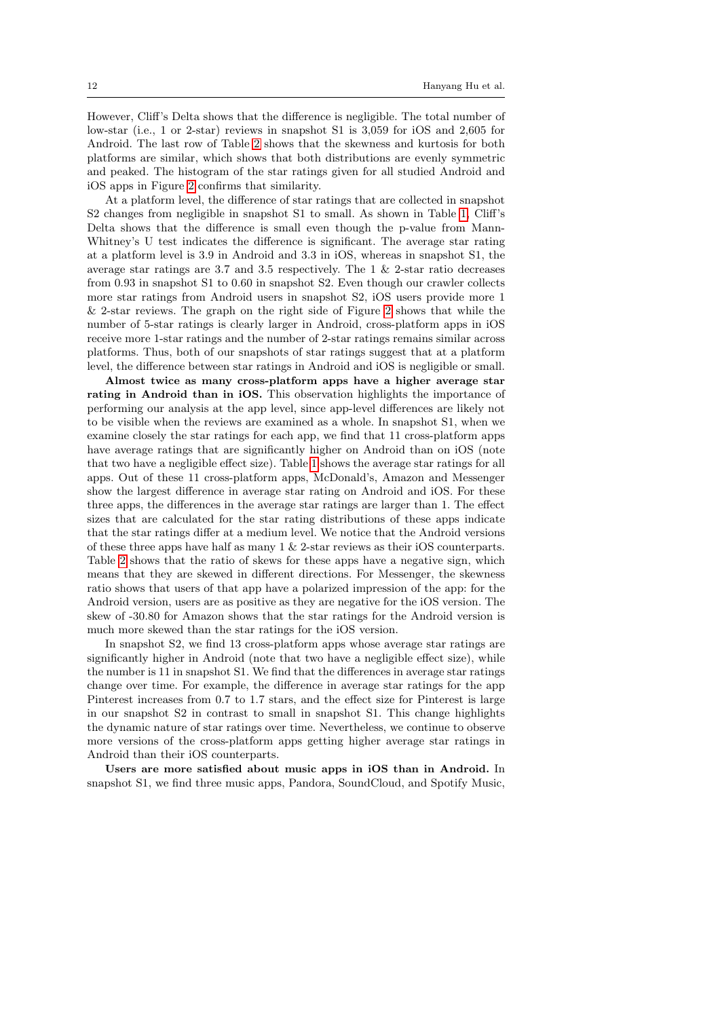However, Cliff's Delta shows that the difference is negligible. The total number of low-star (i.e., 1 or 2-star) reviews in snapshot S1 is 3,059 for iOS and 2,605 for Android. The last row of Table [2](#page-12-0) shows that the skewness and kurtosis for both platforms are similar, which shows that both distributions are evenly symmetric and peaked. The histogram of the star ratings given for all studied Android and iOS apps in Figure [2](#page-8-0) confirms that similarity.

At a platform level, the difference of star ratings that are collected in snapshot S2 changes from negligible in snapshot S1 to small. As shown in Table [1,](#page-10-0) Cliff's Delta shows that the difference is small even though the p-value from Mann-Whitney's U test indicates the difference is significant. The average star rating at a platform level is 3.9 in Android and 3.3 in iOS, whereas in snapshot S1, the average star ratings are 3.7 and 3.5 respectively. The 1 & 2-star ratio decreases from 0.93 in snapshot S1 to 0.60 in snapshot S2. Even though our crawler collects more star ratings from Android users in snapshot S2, iOS users provide more 1 & 2-star reviews. The graph on the right side of Figure [2](#page-8-0) shows that while the number of 5-star ratings is clearly larger in Android, cross-platform apps in iOS receive more 1-star ratings and the number of 2-star ratings remains similar across platforms. Thus, both of our snapshots of star ratings suggest that at a platform level, the difference between star ratings in Android and iOS is negligible or small.

Almost twice as many cross-platform apps have a higher average star rating in Android than in iOS. This observation highlights the importance of performing our analysis at the app level, since app-level differences are likely not to be visible when the reviews are examined as a whole. In snapshot S1, when we examine closely the star ratings for each app, we find that 11 cross-platform apps have average ratings that are significantly higher on Android than on iOS (note that two have a negligible effect size). Table [1](#page-10-0) shows the average star ratings for all apps. Out of these 11 cross-platform apps, McDonald's, Amazon and Messenger show the largest difference in average star rating on Android and iOS. For these three apps, the differences in the average star ratings are larger than 1. The effect sizes that are calculated for the star rating distributions of these apps indicate that the star ratings differ at a medium level. We notice that the Android versions of these three apps have half as many  $1 \& 2$ -star reviews as their iOS counterparts. Table [2](#page-12-0) shows that the ratio of skews for these apps have a negative sign, which means that they are skewed in different directions. For Messenger, the skewness ratio shows that users of that app have a polarized impression of the app: for the Android version, users are as positive as they are negative for the iOS version. The skew of -30.80 for Amazon shows that the star ratings for the Android version is much more skewed than the star ratings for the iOS version.

In snapshot S2, we find 13 cross-platform apps whose average star ratings are significantly higher in Android (note that two have a negligible effect size), while the number is 11 in snapshot S1. We find that the differences in average star ratings change over time. For example, the difference in average star ratings for the app Pinterest increases from 0.7 to 1.7 stars, and the effect size for Pinterest is large in our snapshot S2 in contrast to small in snapshot S1. This change highlights the dynamic nature of star ratings over time. Nevertheless, we continue to observe more versions of the cross-platform apps getting higher average star ratings in Android than their iOS counterparts.

Users are more satisfied about music apps in iOS than in Android. In snapshot S1, we find three music apps, Pandora, SoundCloud, and Spotify Music,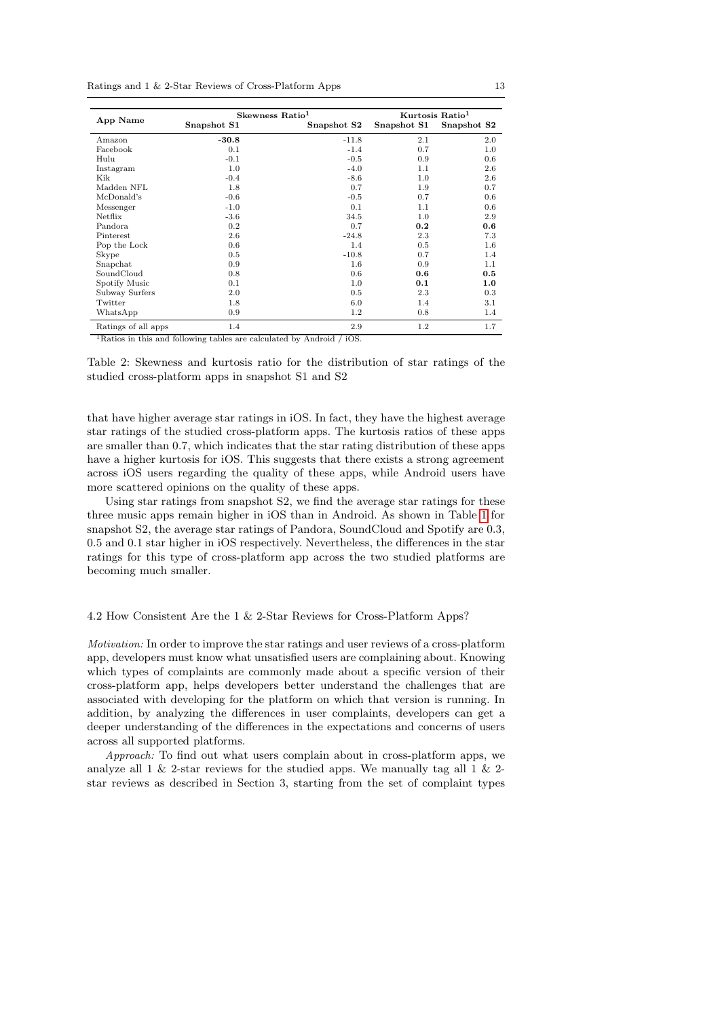Ratings and 1 & 2-Star Reviews of Cross-Platform Apps 13

<span id="page-12-0"></span>

|                     |             | Skewness Ratio <sup>1</sup> | Kurtosis Ratio <sup>1</sup> |             |  |  |
|---------------------|-------------|-----------------------------|-----------------------------|-------------|--|--|
| App Name            | Snapshot S1 | Snapshot S2                 | Snapshot S1                 | Snapshot S2 |  |  |
| Amazon              | $-30.8$     | $-11.8$                     | 2.1                         | 2.0         |  |  |
| Facebook            | 0.1         | $-1.4$                      | 0.7                         | 1.0         |  |  |
| Hulu                | $-0.1$      | $-0.5$                      | 0.9                         | 0.6         |  |  |
| Instagram           | 1.0         | $-4.0$                      | 1.1                         | 2.6         |  |  |
| Kik                 | $-0.4$      | $-8.6$                      | 1.0                         | 2.6         |  |  |
| Madden NFL          | 1.8         | 0.7                         | 1.9                         | 0.7         |  |  |
| McDonald's          | $-0.6$      | $-0.5$                      | 0.7                         | 0.6         |  |  |
| Messenger           | $-1.0$      | 0.1                         | 1.1                         | 0.6         |  |  |
| Netflix             | $-3.6$      | 34.5                        | 1.0                         | 2.9         |  |  |
| Pandora             | 0.2         | 0.7                         | 0.2                         | 0.6         |  |  |
| Pinterest           | 2.6         | $-24.8$                     | 2.3                         | 7.3         |  |  |
| Pop the Lock        | 0.6         | 1.4                         | 0.5                         | $1.6\,$     |  |  |
| Skype               | 0.5         | $-10.8$                     | 0.7                         | 1.4         |  |  |
| Snapchat            | 0.9         | 1.6                         | 0.9                         | 1.1         |  |  |
| SoundCloud          | 0.8         | 0.6                         | 0.6                         | 0.5         |  |  |
| Spotify Music       | 0.1         | 1.0                         | 0.1                         | 1.0         |  |  |
| Subway Surfers      | 2.0         | 0.5                         | 2.3                         | 0.3         |  |  |
| Twitter             | 1.8         | 6.0                         | 1.4                         | 3.1         |  |  |
| WhatsApp            | 0.9         | 1.2                         | 0.8                         | 1.4         |  |  |
| Ratings of all apps | 1.4         | 2.9                         | 1.2                         | 1.7         |  |  |

<sup>1</sup>Ratios in this and following tables are calculated by Android / iOS.

Table 2: Skewness and kurtosis ratio for the distribution of star ratings of the studied cross-platform apps in snapshot S1 and S2

that have higher average star ratings in iOS. In fact, they have the highest average star ratings of the studied cross-platform apps. The kurtosis ratios of these apps are smaller than 0.7, which indicates that the star rating distribution of these apps have a higher kurtosis for iOS. This suggests that there exists a strong agreement across iOS users regarding the quality of these apps, while Android users have more scattered opinions on the quality of these apps.

Using star ratings from snapshot S2, we find the average star ratings for these three music apps remain higher in iOS than in Android. As shown in Table [1](#page-10-0) for snapshot S2, the average star ratings of Pandora, SoundCloud and Spotify are 0.3, 0.5 and 0.1 star higher in iOS respectively. Nevertheless, the differences in the star ratings for this type of cross-platform app across the two studied platforms are becoming much smaller.

# <span id="page-12-1"></span>4.2 How Consistent Are the 1 & 2-Star Reviews for Cross-Platform Apps?

Motivation: In order to improve the star ratings and user reviews of a cross-platform app, developers must know what unsatisfied users are complaining about. Knowing which types of complaints are commonly made about a specific version of their cross-platform app, helps developers better understand the challenges that are associated with developing for the platform on which that version is running. In addition, by analyzing the differences in user complaints, developers can get a deeper understanding of the differences in the expectations and concerns of users across all supported platforms.

Approach: To find out what users complain about in cross-platform apps, we analyze all  $1 \& 2$ -star reviews for the studied apps. We manually tag all  $1 \& 2$ star reviews as described in Section 3, starting from the set of complaint types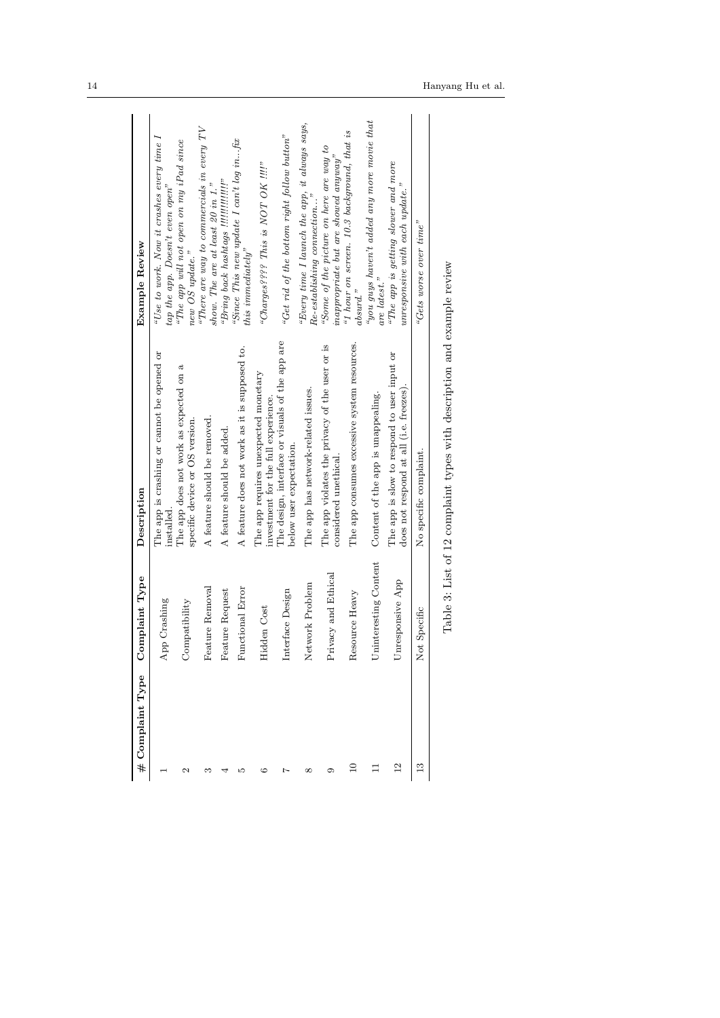<span id="page-13-0"></span>

| # Complaint Type | Complaint Type        | Description                                                                            | Example Review                                                                              |
|------------------|-----------------------|----------------------------------------------------------------------------------------|---------------------------------------------------------------------------------------------|
|                  | App Crashing          | The app is crashing or cannot be opened or<br>installed                                | "Use to work. Now it crashes every time I<br>$tap$ the app. Doesn't even open"              |
| 2                | Compatibility         | The app does not work as expected on a<br>specific device or OS version.               | "The app will not open on my iPad since<br>$new OS update.$ "                               |
| S                | Feature Removal       | A feature should be removed.                                                           | "There are way to commercials in every $TV$<br>show. The are at least $20 \text{ in } 1$ ." |
| 4                | Feature Request       | A feature should be added.                                                             | "Bring back hashtags !!!!!!!!!!!!!!                                                         |
| S                | Functional Error      | A feature does not work as it is supposed to.                                          | "Since This new update I can't log infar<br>$this\ immediately"$                            |
| G                | Hidden Cost           | The app requires unexpected monetary<br>investment for the full experience.            | "Charges???? This is NOT OK !!!!"                                                           |
| Ņ                | Interface Design      | The design, interface or visuals of the app are<br>below user expectation.             | "Get rid of the bottom right follow button"                                                 |
| $^{\circ}$       | Network Problem       | The app has network-related issues.                                                    | "Every time I launch the app, it always says,<br>$Re\text{-}estabilitying connection$       |
| Ó                | Privacy and Ethical   | The app violates the privacy of the user or is<br>considered unethical                 | "Some of the picture on here are way to<br>inappropriate but are showed anyway"             |
| $\Xi$            | Resource Heavy        | The app consumes excessive system resources.                                           | "I hour on screen. 10.3 background, that is<br>$absurd.^{\prime\prime}$                     |
|                  | Uninteresting Content | Content of the app is unappealing.                                                     | "you guys haven't added any more movie that<br>$are\,\,lastest.^{\hskip.75pt,v}$            |
| $\overline{12}$  | Unresponsive App      | The app is slow to respond to user input or<br>does not respond at all (i.e. freezes). | "The app is getting slower and more<br>$unresponse$ with each update."                      |
| $\frac{3}{2}$    | Not Specific          | No specific complaint.                                                                 | "Gets worse over time"                                                                      |
|                  |                       | Table 3: List of 12 complaint types with description and example review                |                                                                                             |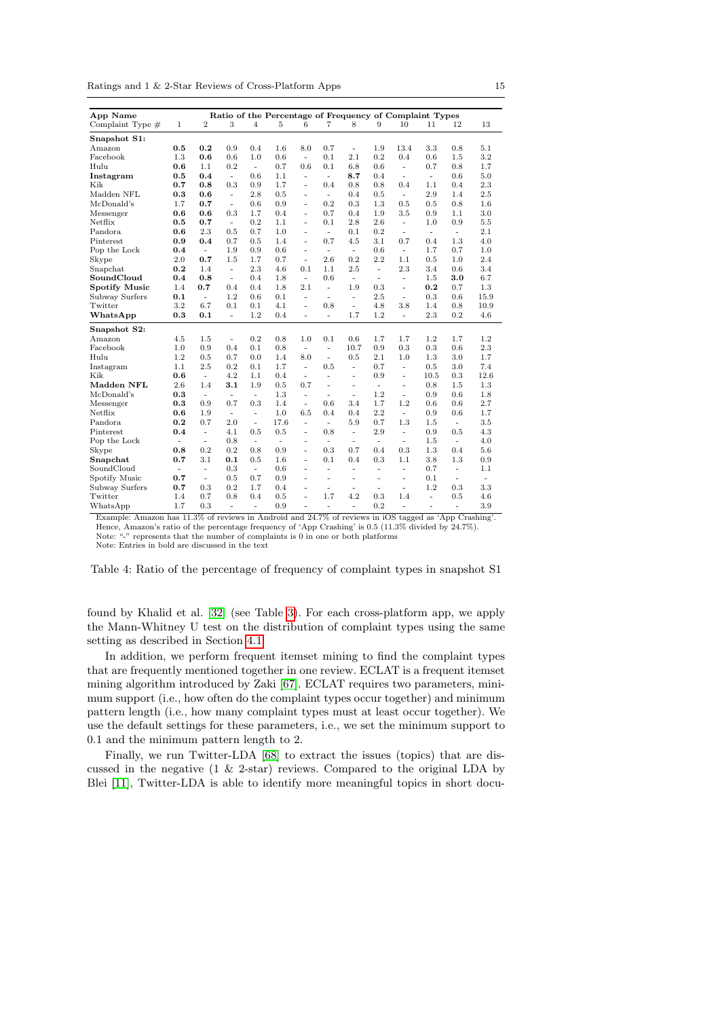Ratings and 1 & 2-Star Reviews of Cross-Platform Apps 15

<span id="page-14-0"></span>

| App Name             |                |                          |                          |                          | Ratio of the Percentage of Frequency of Complaint Types |                          |                          |                          |                          |                          |                |                          |                          |
|----------------------|----------------|--------------------------|--------------------------|--------------------------|---------------------------------------------------------|--------------------------|--------------------------|--------------------------|--------------------------|--------------------------|----------------|--------------------------|--------------------------|
| Complaint Type $#$   | $\mathbf{1}$   | $\overline{2}$           | 3                        | $\overline{4}$           | 5                                                       | 6                        | $\overline{7}$           | 8                        | 9                        | 10                       | 11             | 12                       | 13                       |
| Snapshot S1:         |                |                          |                          |                          |                                                         |                          |                          |                          |                          |                          |                |                          |                          |
| Amazon               | 0.5            | 0.2                      | 0.9                      | 0.4                      | 1.6                                                     | 8.0                      | 0.7                      | $\overline{\phantom{a}}$ | 1.9                      | 13.4                     | 3.3            | 0.8                      | 5.1                      |
| Facebook             | 1.3            | 0.6                      | 0.6                      | 1.0                      | 0.6                                                     | $\overline{\phantom{a}}$ | 0.1                      | 2.1                      | 0.2                      | 0.4                      | 0.6            | 1.5                      | 3.2                      |
| Hulu                 | 0.6            | 1.1                      | 0.2                      | $\overline{\phantom{a}}$ | 0.7                                                     | 0.6                      | 0.1                      | 6.8                      | 0.6                      | ÷,                       | 0.7            | 0.8                      | 1.7                      |
| Instagram            | 0.5            | 0.4                      | $\overline{\phantom{a}}$ | 0.6                      | 1.1                                                     | L.                       | $\overline{\phantom{a}}$ | 8.7                      | 0.4                      | $\overline{a}$           | $\sim$         | 0.6                      | 5.0                      |
| Kik                  | 0.7            | 0.8                      | 0.3                      | 0.9                      | 1.7                                                     | L.                       | 0.4                      | 0.8                      | 0.8                      | 0.4                      | 1.1            | 0.4                      | 2.3                      |
| Madden NFL           | 0.3            | 0.6                      | $\overline{a}$           | 2.8                      | 0.5                                                     | ٠                        | $\overline{a}$           | 0.4                      | 0.5                      | $\overline{\phantom{a}}$ | 2.9            | 1.4                      | 2.5                      |
| McDonald's           | 1.7            | 0.7                      | $\overline{\phantom{a}}$ | 0.6                      | 0.9                                                     | ä,                       | 0.2                      | 0.3                      | 1.3                      | 0.5                      | 0.5            | 0.8                      | 1.6                      |
| Messenger            | 0.6            | 0.6                      | 0.3                      | 1.7                      | 0.4                                                     | ٠                        | 0.7                      | 0.4                      | 1.9                      | 3.5                      | 0.9            | 1.1                      | 3.0                      |
| Netflix              | 0.5            | 0.7                      | $\sim$                   | 0.2                      | 1.1                                                     | ÷.                       | 0.1                      | 2.8                      | 2.6                      | ÷.                       | 1.0            | 0.9                      | 5.5                      |
| Pandora              | 0.6            | 2.3                      | 0.5                      | 0.7                      | 1.0                                                     | $\overline{a}$           | L.                       | 0.1                      | 0.2                      | $\overline{\phantom{a}}$ | ÷.             | $\sim$                   | 2.1                      |
| Pinterest            | $_{0.9}$       | 0.4                      | 0.7                      | 0.5                      | 1.4                                                     | L.                       | 0.7                      | 4.5                      | 3.1                      | 0.7                      | 0.4            | 1.3                      | 4.0                      |
| Pop the Lock         | 0.4            | $\overline{\phantom{a}}$ | 1.9                      | 0.9                      | 0.6                                                     | $\overline{a}$           | $\overline{a}$           | $\overline{\phantom{a}}$ | 0.6                      | $\overline{\phantom{a}}$ | 1.7            | 0.7                      | 1.0                      |
| Skype                | 2.0            | 0.7                      | 1.5                      | 1.7                      | 0.7                                                     | $\sim$                   | 2.6                      | 0.2                      | 2.2                      | 1.1                      | 0.5            | 1.0                      | 2.4                      |
| Snapchat             | 0.2            | 1.4                      | $\overline{\phantom{a}}$ | 2.3                      | 4.6                                                     | 0.1                      | 1.1                      | 2.5                      | ÷,                       | 2.3                      | 3.4            | 0.6                      | 3.4                      |
| SoundCloud           | 0.4            | 0.8                      | ٠                        | 0.4                      | 1.8                                                     | $\overline{a}$           | 0.6                      | ٠                        | $\overline{\phantom{a}}$ | ä,                       | 1.5            | 3.0                      | 6.7                      |
| <b>Spotify Music</b> | 1.4            | 0.7                      | 0.4                      | 0.4                      | 1.8                                                     | 2.1                      | L.                       | 1.9                      | 0.3                      | ä,                       | 0.2            | 0.7                      | 1.3                      |
| Subway Surfers       | 0.1            | $\overline{a}$           | 1.2                      | 0.6                      | 0.1                                                     | $\sim$                   | ä,                       | $\sim$                   | 2.5                      | L.                       | 0.3            | 0.6                      | 15.9                     |
| Twitter              | 3.2            | 6.7                      | 0.1                      | 0.1                      | 4.1                                                     | $\overline{a}$           | 0.8                      | $\overline{\phantom{a}}$ | 4.8                      | 3.8                      | 1.4            | 0.8                      | 10.9                     |
| WhatsApp             | 0.3            | 0.1                      | ÷.                       | 1.2                      | 0.4                                                     | ä,                       | $\overline{a}$           | 1.7                      | 1.2                      | ÷.                       | 2.3            | 0.2                      | 4.6                      |
| Snapshot S2:         |                |                          |                          |                          |                                                         |                          |                          |                          |                          |                          |                |                          |                          |
| Amazon               | 4.5            | 1.5                      | $\overline{\phantom{a}}$ | 0.2                      | 0.8                                                     | 1.0                      | 0.1                      | 0.6                      | 1.7                      | 1.7                      | 1.2            | 1.7                      | 1.2                      |
| Facebook             | 1.0            | 0.9                      | 0.4                      | 0.1                      | 0.8                                                     | $\overline{\phantom{a}}$ | L.                       | 10.7                     | 0.9                      | 0.3                      | 0.3            | 0.6                      | 2.3                      |
| Hulu                 | 1.2            | 0.5                      | 0.7                      | 0.0                      | 1.4                                                     | 8.0                      | ÷.                       | 0.5                      | 2.1                      | 1.0                      | 1.3            | 3.0                      | 1.7                      |
| Instagram            | 1.1            | 2.5                      | 0.2                      | 0.1                      | 1.7                                                     | $\sim$                   | 0.5                      | $\sim$                   | 0.7                      | L.                       | 0.5            | 3.0                      | 7.4                      |
| Kik                  | 0.6            | $\overline{\phantom{a}}$ | 4.2                      | 1.1                      | 0.4                                                     | $\overline{\phantom{a}}$ | L,                       | $\overline{a}$           | 0.9                      | $\overline{a}$           | 10.5           | 0.3                      | 12.6                     |
| Madden NFL           | 2.6            | 1.4                      | 3.1                      | 1.9                      | 0.5                                                     | 0.7                      | L,                       | $\overline{\phantom{a}}$ | $\overline{a}$           | ä,                       | 0.8            | 1.5                      | 1.3                      |
| McDonald's           | 0.3            | $\overline{\phantom{a}}$ | $\overline{\phantom{a}}$ | $\overline{\phantom{a}}$ | 1.3                                                     | $\overline{\phantom{a}}$ | ÷.                       | $\overline{\phantom{a}}$ | 1.2                      | $\overline{\phantom{a}}$ | 0.9            | 0.6                      | 1.8                      |
| Messenger            | 0.3            | 0.9                      | 0.7                      | 0.3                      | 1.4                                                     | $\overline{\phantom{a}}$ | 0.6                      | 3.4                      | 1.7                      | 1.2                      | 0.6            | 0.6                      | 2.7                      |
| Netflix              | 0.6            | 1.9                      | $\overline{\phantom{a}}$ | $\overline{\phantom{a}}$ | 1.0                                                     | 6.5                      | 0.4                      | 0.4                      | 2.2                      | ÷.                       | 0.9            | 0.6                      | 1.7                      |
| Pandora              | 0.2            | 0.7                      | 2.0                      | $\overline{\phantom{a}}$ | 17.6                                                    | $\overline{\phantom{a}}$ | $\overline{\phantom{a}}$ | 5.9                      | 0.7                      | 1.3                      | 1.5            | $\overline{\phantom{a}}$ | 3.5                      |
| Pinterest            | 0.4            | $\overline{\phantom{a}}$ | 4.1                      | 0.5                      | 0.5                                                     | L.                       | 0.8                      | $\overline{\phantom{a}}$ | 2.9                      | $\overline{a}$           | 0.9            | 0.5                      | 4.3                      |
| Pop the Lock         | ÷,             | ٠                        | 0.8                      | $\overline{\phantom{a}}$ | $\sim$                                                  | ٠                        | $\overline{a}$           | ٠                        | ٠                        | ٠                        | 1.5            | ÷.                       | 4.0                      |
| Skype                | 0.8            | 0.2                      | 0.2                      | 0.8                      | 0.9                                                     | $\overline{a}$           | 0.3                      | 0.7                      | 0.4                      | 0.3                      | 1.3            | 0.4                      | 5.6                      |
| Snapchat             | 0.7            | 3.1                      | 0.1                      | 0.5                      | 1.6                                                     | $\sim$                   | 0.1                      | 0.4                      | 0.3                      | 1.1                      | 3.8            | 1.3                      | 0.9                      |
| SoundCloud           | $\overline{a}$ | $\overline{\phantom{a}}$ | 0.3                      | $\overline{\phantom{a}}$ | 0.6                                                     | ä,                       | ÷.                       | ä,                       | ٠                        | ٠                        | 0.7            | $\overline{\phantom{a}}$ | 1.1                      |
| Spotify Music        | 0.7            | $\overline{\phantom{a}}$ | 0.5                      | 0.7                      | 0.9                                                     | ä,                       | ٠                        | $\overline{a}$           | ٠                        | ä,                       | 0.1            | $\overline{\phantom{a}}$ | $\overline{\phantom{a}}$ |
| Subway Surfers       | 0.7            | 0.3                      | 0.2                      | 1.7                      | 0.4                                                     | ä,                       | $\overline{a}$           | $\overline{a}$           | ٠                        | ÷,                       | 1.2            | 0.3                      | 3.3                      |
| Twitter              | 1.4            | 0.7                      | 0.8                      | 0.4                      | 0.5                                                     | ä,                       | 1.7                      | 4.2                      | 0.3                      | 1.4                      | $\overline{a}$ | 0.5                      | 4.6                      |
| WhatsApp             | 1.7            | 0.3                      | ÷.                       | $\overline{\phantom{a}}$ | 0.9                                                     | ÷,                       | ä,                       | ÷.                       | 0.2                      | ä,                       | ٠              | $\overline{\phantom{a}}$ | 3.9                      |

Example: Amazon has 11.3% of reviews in Android and 24.7% of reviews in iOS tagged as 'App Crashing'. Hence, Amazon's ratio of the percentage frequency of 'App Crashing' is 0.5 (11.3% divided by 24.7%). Note: "-" represents that the number of complaints is 0 in one or both platforms

Note: Entries in bold are discussed in the text

Table 4: Ratio of the percentage of frequency of complaint types in snapshot S1

found by Khalid et al. [\[32\]](#page-31-4) (see Table [3\)](#page-13-0). For each cross-platform app, we apply the Mann-Whitney U test on the distribution of complaint types using the same setting as described in Section [4.1.](#page-8-1)

In addition, we perform frequent itemset mining to find the complaint types that are frequently mentioned together in one review. ECLAT is a frequent itemset mining algorithm introduced by Zaki [\[67\]](#page-33-3). ECLAT requires two parameters, minimum support (i.e., how often do the complaint types occur together) and minimum pattern length (i.e., how many complaint types must at least occur together). We use the default settings for these parameters, i.e., we set the minimum support to 0.1 and the minimum pattern length to 2.

Finally, we run Twitter-LDA [\[68\]](#page-33-4) to extract the issues (topics) that are discussed in the negative  $(1 \& 2\text{-star})$  reviews. Compared to the original LDA by Blei [\[11\]](#page-30-15), Twitter-LDA is able to identify more meaningful topics in short docu-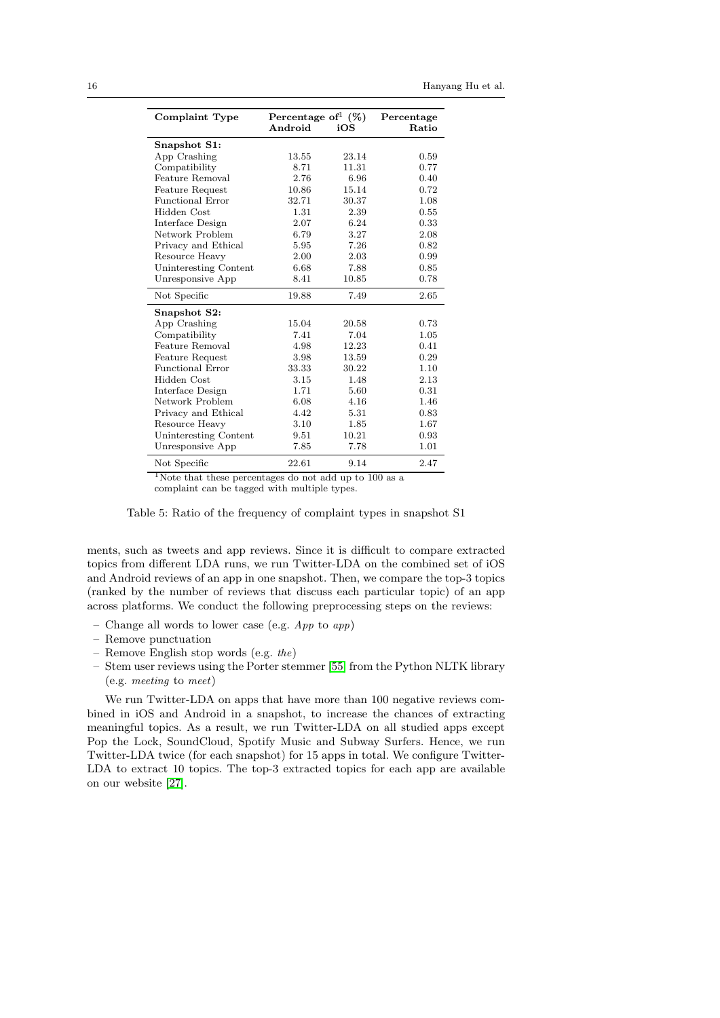| Complaint Type          | Percentage of $(\%)$ |       | Percentage |
|-------------------------|----------------------|-------|------------|
|                         | Android              | iOS   | Ratio      |
| Snapshot S1:            |                      |       |            |
| App Crashing            | 13.55                | 23.14 | 0.59       |
| Compatibility           | 8.71                 | 11.31 | 0.77       |
| Feature Removal         | 2.76                 | 6.96  | 0.40       |
| <b>Feature Request</b>  | 10.86                | 15.14 | 0.72       |
| <b>Functional Error</b> | 32.71                | 30.37 | 1.08       |
| Hidden Cost             | 1.31                 | 2.39  | 0.55       |
| Interface Design        | 2.07                 | 6.24  | 0.33       |
| Network Problem         | 6.79                 | 3.27  | 2.08       |
| Privacy and Ethical     | 5.95                 | 7.26  | 0.82       |
| Resource Heavy          | 2.00                 | 2.03  | 0.99       |
| Uninteresting Content   | 6.68                 | 7.88  | 0.85       |
| Unresponsive App        | 8.41                 | 10.85 | 0.78       |
| Not Specific            | 19.88                | 7.49  | 2.65       |
| Snapshot S2:            |                      |       |            |
| App Crashing            | 15.04                | 20.58 | 0.73       |
| Compatibility           | 7.41                 | 7.04  | 1.05       |
| Feature Removal         | 4.98                 | 12.23 | 0.41       |
| <b>Feature Request</b>  | 3.98                 | 13.59 | 0.29       |
| <b>Functional Error</b> | 33.33                | 30.22 | 1.10       |
| Hidden Cost             | 3.15                 | 1.48  | 2.13       |
| Interface Design        | 1.71                 | 5.60  | 0.31       |
| Network Problem         | 6.08                 | 4.16  | 1.46       |
| Privacy and Ethical     | 4.42                 | 5.31  | 0.83       |
| Resource Heavy          | 3.10                 | 1.85  | 1.67       |
| Uninteresting Content   | 9.51                 | 10.21 | 0.93       |
| Unresponsive App        | 7.85                 | 7.78  | 1.01       |
| Not Specific            | 22.61                | 9.14  | 2.47       |

<sup>1</sup>Note that these percentages do not add up to 100 as a complaint can be tagged with multiple types.

Table 5: Ratio of the frequency of complaint types in snapshot S1

ments, such as tweets and app reviews. Since it is difficult to compare extracted topics from different LDA runs, we run Twitter-LDA on the combined set of iOS and Android reviews of an app in one snapshot. Then, we compare the top-3 topics (ranked by the number of reviews that discuss each particular topic) of an app across platforms. We conduct the following preprocessing steps on the reviews:

- Change all words to lower case (e.g.  $App$  to  $app$ )
- Remove punctuation
- Remove English stop words (e.g. the)
- Stem user reviews using the Porter stemmer [\[55\]](#page-32-14) from the Python NLTK library (e.g. meeting to meet)

We run Twitter-LDA on apps that have more than 100 negative reviews combined in iOS and Android in a snapshot, to increase the chances of extracting meaningful topics. As a result, we run Twitter-LDA on all studied apps except Pop the Lock, SoundCloud, Spotify Music and Subway Surfers. Hence, we run Twitter-LDA twice (for each snapshot) for 15 apps in total. We configure Twitter-LDA to extract 10 topics. The top-3 extracted topics for each app are available on our website [\[27\]](#page-31-12).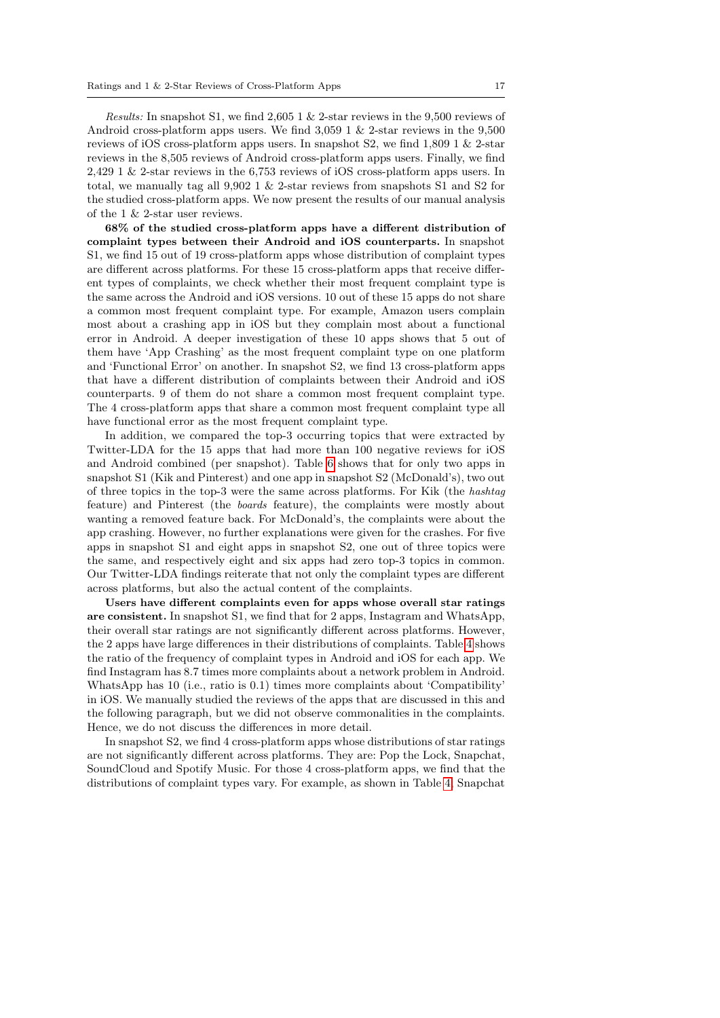Results: In snapshot S1, we find 2,605 1 & 2-star reviews in the 9,500 reviews of Android cross-platform apps users. We find  $3,059$  1 & 2-star reviews in the  $9,500$ reviews of iOS cross-platform apps users. In snapshot S2, we find 1,809 1 & 2-star reviews in the 8,505 reviews of Android cross-platform apps users. Finally, we find 2,429 1 & 2-star reviews in the 6,753 reviews of iOS cross-platform apps users. In total, we manually tag all 9,902 1 & 2-star reviews from snapshots S1 and S2 for the studied cross-platform apps. We now present the results of our manual analysis of the 1 & 2-star user reviews.

68% of the studied cross-platform apps have a different distribution of complaint types between their Android and iOS counterparts. In snapshot S1, we find 15 out of 19 cross-platform apps whose distribution of complaint types are different across platforms. For these 15 cross-platform apps that receive different types of complaints, we check whether their most frequent complaint type is the same across the Android and iOS versions. 10 out of these 15 apps do not share a common most frequent complaint type. For example, Amazon users complain most about a crashing app in iOS but they complain most about a functional error in Android. A deeper investigation of these 10 apps shows that 5 out of them have 'App Crashing' as the most frequent complaint type on one platform and 'Functional Error' on another. In snapshot S2, we find 13 cross-platform apps that have a different distribution of complaints between their Android and iOS counterparts. 9 of them do not share a common most frequent complaint type. The 4 cross-platform apps that share a common most frequent complaint type all have functional error as the most frequent complaint type.

In addition, we compared the top-3 occurring topics that were extracted by Twitter-LDA for the 15 apps that had more than 100 negative reviews for iOS and Android combined (per snapshot). Table [6](#page-17-0) shows that for only two apps in snapshot S1 (Kik and Pinterest) and one app in snapshot S2 (McDonald's), two out of three topics in the top-3 were the same across platforms. For Kik (the hashtag feature) and Pinterest (the boards feature), the complaints were mostly about wanting a removed feature back. For McDonald's, the complaints were about the app crashing. However, no further explanations were given for the crashes. For five apps in snapshot S1 and eight apps in snapshot S2, one out of three topics were the same, and respectively eight and six apps had zero top-3 topics in common. Our Twitter-LDA findings reiterate that not only the complaint types are different across platforms, but also the actual content of the complaints.

Users have different complaints even for apps whose overall star ratings are consistent. In snapshot S1, we find that for 2 apps, Instagram and WhatsApp, their overall star ratings are not significantly different across platforms. However, the 2 apps have large differences in their distributions of complaints. Table [4](#page-14-0) shows the ratio of the frequency of complaint types in Android and iOS for each app. We find Instagram has 8.7 times more complaints about a network problem in Android. WhatsApp has 10 (i.e., ratio is 0.1) times more complaints about 'Compatibility' in iOS. We manually studied the reviews of the apps that are discussed in this and the following paragraph, but we did not observe commonalities in the complaints. Hence, we do not discuss the differences in more detail.

In snapshot S2, we find 4 cross-platform apps whose distributions of star ratings are not significantly different across platforms. They are: Pop the Lock, Snapchat, SoundCloud and Spotify Music. For those 4 cross-platform apps, we find that the distributions of complaint types vary. For example, as shown in Table [4,](#page-14-0) Snapchat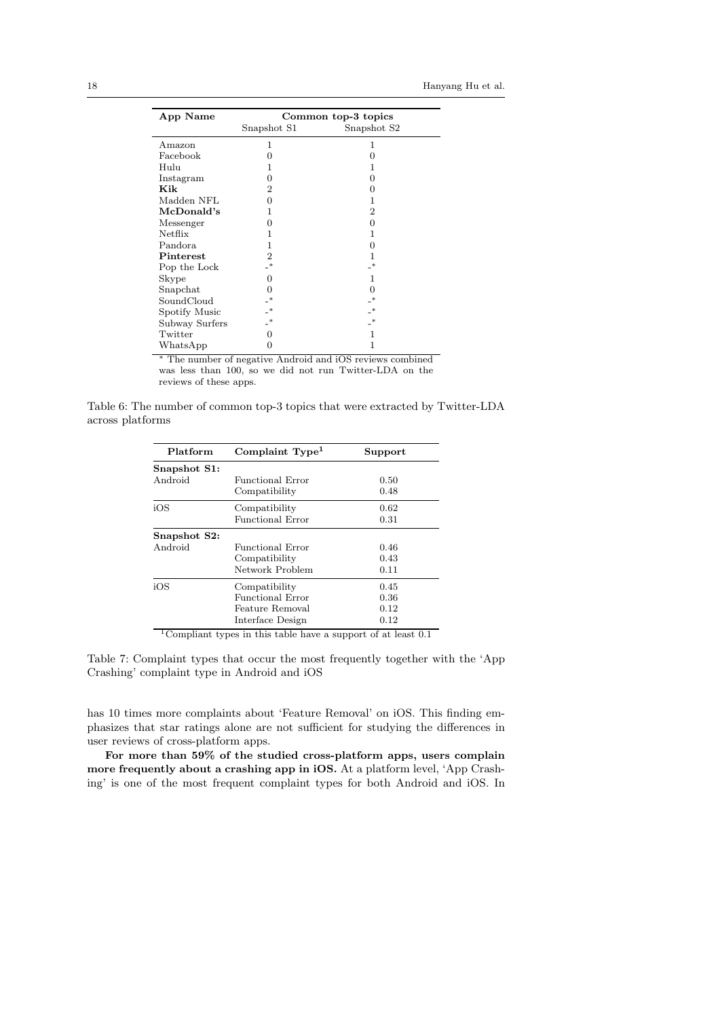<span id="page-17-0"></span>

| App Name       |             | Common top-3 topics |
|----------------|-------------|---------------------|
|                | Snapshot S1 | Snapshot S2         |
| Amazon         | 1           | 1                   |
| Facebook       | 0           | 0                   |
| Hulu           | 1           |                     |
| Instagram      | 0           | 0                   |
| Kik            | 2           | 0                   |
| Madden NFL     | 0           |                     |
| McDonald's     | 1           | 2                   |
| Messenger      | 0           | O                   |
| Netflix        | 1           |                     |
| Pandora        | 1           | 0                   |
| Pinterest      | 2           |                     |
| Pop the Lock   | $_{\star}$  | 米                   |
| Skype          | 0           |                     |
| Snapchat       | 0           | 0                   |
| SoundCloud     |             |                     |
| Spotify Music  |             |                     |
| Subway Surfers | *           |                     |
| Twitter        | 0           |                     |
| WhatsApp       | 0           |                     |

<sup>∗</sup> The number of negative Android and iOS reviews combined was less than 100, so we did not run Twitter-LDA on the reviews of these apps.

<span id="page-17-1"></span>Table 6: The number of common top-3 topics that were extracted by Twitter-LDA across platforms

| Platform     | Complaint $Type1$       | Support |
|--------------|-------------------------|---------|
| Snapshot S1: |                         |         |
| Android      | Functional Error        | 0.50    |
|              | Compatibility           | 0.48    |
| iOS          | Compatibility           | 0.62    |
|              | <b>Functional Error</b> | 0.31    |
| Snapshot S2: |                         |         |
| Android      | Functional Error        | 0.46    |
|              | Compatibility           | 0.43    |
|              | Network Problem         | 0.11    |
| iOS          | Compatibility           | 0.45    |
|              | Functional Error        | 0.36    |
|              | Feature Removal         | 0.12    |
|              | Interface Design        | 0.12    |

<sup>1</sup>Compliant types in this table have a support of at least 0.1

Table 7: Complaint types that occur the most frequently together with the 'App Crashing' complaint type in Android and iOS

has 10 times more complaints about 'Feature Removal' on iOS. This finding emphasizes that star ratings alone are not sufficient for studying the differences in user reviews of cross-platform apps.

For more than 59% of the studied cross-platform apps, users complain more frequently about a crashing app in iOS. At a platform level, 'App Crashing' is one of the most frequent complaint types for both Android and iOS. In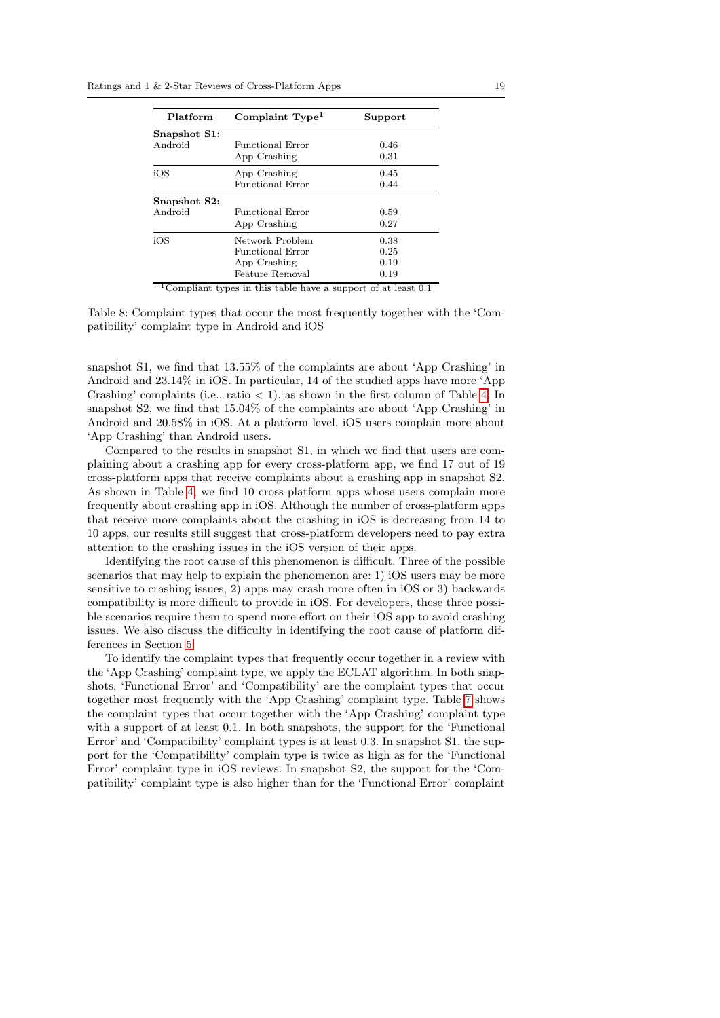<span id="page-18-0"></span>

| Platform     | Complaint Type <sup>1</sup> | Support |  |  |  |
|--------------|-----------------------------|---------|--|--|--|
| Snapshot S1: |                             |         |  |  |  |
| Android      | Functional Error            | 0.46    |  |  |  |
|              | App Crashing                | 0.31    |  |  |  |
| iOS          | App Crashing                | 0.45    |  |  |  |
|              | <b>Functional Error</b>     | 0.44    |  |  |  |
| Snapshot S2: |                             |         |  |  |  |
| Android      | <b>Functional Error</b>     | 0.59    |  |  |  |
|              | App Crashing                | 0.27    |  |  |  |
| iOS          | Network Problem             | 0.38    |  |  |  |
|              | <b>Functional Error</b>     | 0.25    |  |  |  |
|              | App Crashing                | 0.19    |  |  |  |
|              | Feature Removal             | 0.19    |  |  |  |

<sup>1</sup>Compliant types in this table have a support of at least 0.1

Table 8: Complaint types that occur the most frequently together with the 'Compatibility' complaint type in Android and iOS

snapshot S1, we find that 13.55% of the complaints are about 'App Crashing' in Android and 23.14% in iOS. In particular, 14 of the studied apps have more 'App Crashing' complaints (i.e., ratio  $<$  1), as shown in the first column of Table [4.](#page-14-0) In snapshot S2, we find that 15.04% of the complaints are about 'App Crashing' in Android and 20.58% in iOS. At a platform level, iOS users complain more about 'App Crashing' than Android users.

Compared to the results in snapshot S1, in which we find that users are complaining about a crashing app for every cross-platform app, we find 17 out of 19 cross-platform apps that receive complaints about a crashing app in snapshot S2. As shown in Table [4,](#page-14-0) we find 10 cross-platform apps whose users complain more frequently about crashing app in iOS. Although the number of cross-platform apps that receive more complaints about the crashing in iOS is decreasing from 14 to 10 apps, our results still suggest that cross-platform developers need to pay extra attention to the crashing issues in the iOS version of their apps.

Identifying the root cause of this phenomenon is difficult. Three of the possible scenarios that may help to explain the phenomenon are: 1) iOS users may be more sensitive to crashing issues, 2) apps may crash more often in iOS or 3) backwards compatibility is more difficult to provide in iOS. For developers, these three possible scenarios require them to spend more effort on their iOS app to avoid crashing issues. We also discuss the difficulty in identifying the root cause of platform differences in Section [5.](#page-22-0)

To identify the complaint types that frequently occur together in a review with the 'App Crashing' complaint type, we apply the ECLAT algorithm. In both snapshots, 'Functional Error' and 'Compatibility' are the complaint types that occur together most frequently with the 'App Crashing' complaint type. Table [7](#page-17-1) shows the complaint types that occur together with the 'App Crashing' complaint type with a support of at least 0.1. In both snapshots, the support for the 'Functional Error' and 'Compatibility' complaint types is at least 0.3. In snapshot S1, the support for the 'Compatibility' complain type is twice as high as for the 'Functional Error' complaint type in iOS reviews. In snapshot S2, the support for the 'Compatibility' complaint type is also higher than for the 'Functional Error' complaint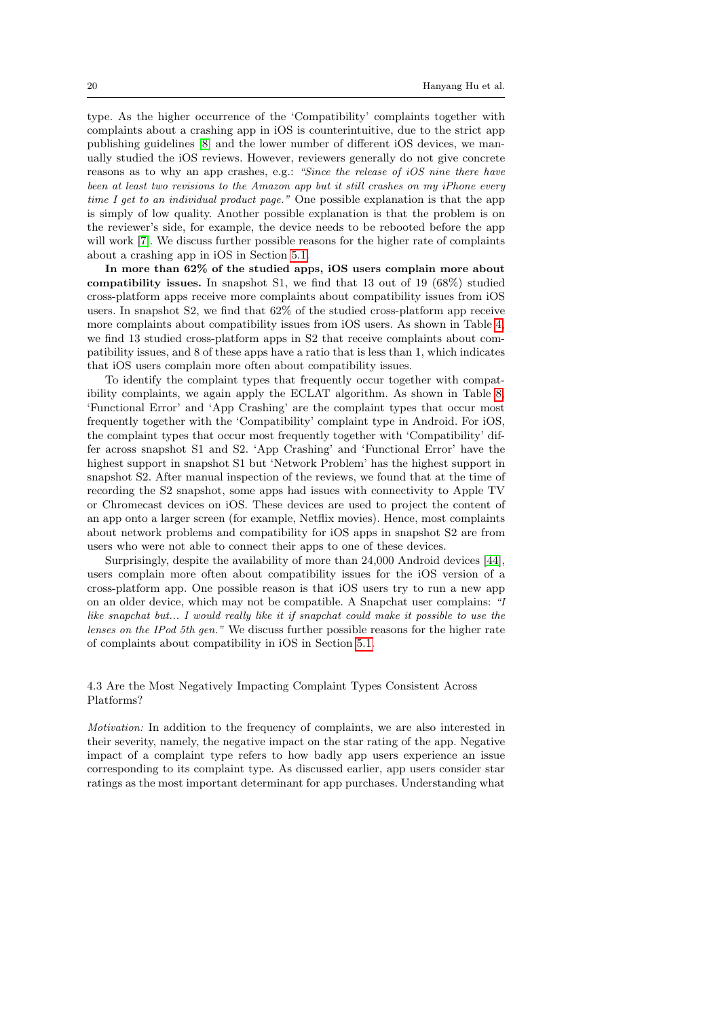type. As the higher occurrence of the 'Compatibility' complaints together with complaints about a crashing app in iOS is counterintuitive, due to the strict app publishing guidelines [\[8\]](#page-30-16) and the lower number of different iOS devices, we manually studied the iOS reviews. However, reviewers generally do not give concrete reasons as to why an app crashes, e.g.: "Since the release of iOS nine there have been at least two revisions to the Amazon app but it still crashes on my iPhone every time I get to an individual product page." One possible explanation is that the app is simply of low quality. Another possible explanation is that the problem is on the reviewer's side, for example, the device needs to be rebooted before the app will work [\[7\]](#page-30-17). We discuss further possible reasons for the higher rate of complaints about a crashing app in iOS in Section [5.1.](#page-23-0)

In more than 62% of the studied apps, iOS users complain more about compatibility issues. In snapshot S1, we find that 13 out of 19 (68%) studied cross-platform apps receive more complaints about compatibility issues from iOS users. In snapshot S2, we find that 62% of the studied cross-platform app receive more complaints about compatibility issues from iOS users. As shown in Table [4,](#page-14-0) we find 13 studied cross-platform apps in S2 that receive complaints about compatibility issues, and 8 of these apps have a ratio that is less than 1, which indicates that iOS users complain more often about compatibility issues.

To identify the complaint types that frequently occur together with compatibility complaints, we again apply the ECLAT algorithm. As shown in Table [8,](#page-18-0) 'Functional Error' and 'App Crashing' are the complaint types that occur most frequently together with the 'Compatibility' complaint type in Android. For iOS, the complaint types that occur most frequently together with 'Compatibility' differ across snapshot S1 and S2. 'App Crashing' and 'Functional Error' have the highest support in snapshot S1 but 'Network Problem' has the highest support in snapshot S2. After manual inspection of the reviews, we found that at the time of recording the S2 snapshot, some apps had issues with connectivity to Apple TV or Chromecast devices on iOS. These devices are used to project the content of an app onto a larger screen (for example, Netflix movies). Hence, most complaints about network problems and compatibility for iOS apps in snapshot S2 are from users who were not able to connect their apps to one of these devices.

Surprisingly, despite the availability of more than 24,000 Android devices [\[44\]](#page-32-15), users complain more often about compatibility issues for the iOS version of a cross-platform app. One possible reason is that iOS users try to run a new app on an older device, which may not be compatible. A Snapchat user complains: "I like snapchat but... I would really like it if snapchat could make it possible to use the lenses on the IPod 5th gen." We discuss further possible reasons for the higher rate of complaints about compatibility in iOS in Section [5.1.](#page-23-0)

<span id="page-19-0"></span>4.3 Are the Most Negatively Impacting Complaint Types Consistent Across Platforms?

Motivation: In addition to the frequency of complaints, we are also interested in their severity, namely, the negative impact on the star rating of the app. Negative impact of a complaint type refers to how badly app users experience an issue corresponding to its complaint type. As discussed earlier, app users consider star ratings as the most important determinant for app purchases. Understanding what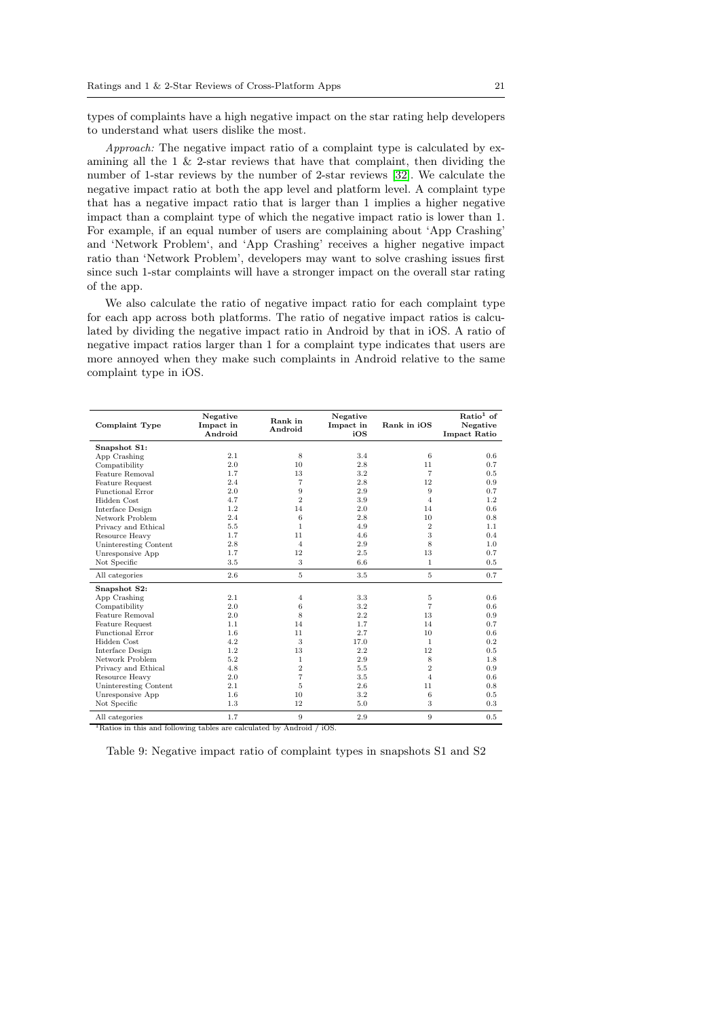types of complaints have a high negative impact on the star rating help developers to understand what users dislike the most.

Approach: The negative impact ratio of a complaint type is calculated by examining all the 1 & 2-star reviews that have that complaint, then dividing the number of 1-star reviews by the number of 2-star reviews [\[32\]](#page-31-4). We calculate the negative impact ratio at both the app level and platform level. A complaint type that has a negative impact ratio that is larger than 1 implies a higher negative impact than a complaint type of which the negative impact ratio is lower than 1. For example, if an equal number of users are complaining about 'App Crashing' and 'Network Problem', and 'App Crashing' receives a higher negative impact ratio than 'Network Problem', developers may want to solve crashing issues first since such 1-star complaints will have a stronger impact on the overall star rating of the app.

We also calculate the ratio of negative impact ratio for each complaint type for each app across both platforms. The ratio of negative impact ratios is calculated by dividing the negative impact ratio in Android by that in iOS. A ratio of negative impact ratios larger than 1 for a complaint type indicates that users are more annoyed when they make such complaints in Android relative to the same complaint type in iOS.

| Complaint Type          | Negative<br>Impact in<br>Android | Rank in<br>Android | Negative<br>Impact in<br>iOS | Rank in iOS    | $Ratio1$ of<br>Negative<br><b>Impact Ratio</b> |
|-------------------------|----------------------------------|--------------------|------------------------------|----------------|------------------------------------------------|
| Snapshot S1:            |                                  |                    |                              |                |                                                |
| App Crashing            | 2.1                              | 8                  | 3.4                          | 6              | 0.6                                            |
| Compatibility           | 2.0                              | 10                 | 2.8                          | 11             | 0.7                                            |
| Feature Removal         | 1.7                              | 13                 | 3.2                          | $\overline{7}$ | $0.5\,$                                        |
| <b>Feature Request</b>  | 2.4                              | 7                  | 2.8                          | 12             | 0.9                                            |
| <b>Functional Error</b> | 2.0                              | 9                  | 2.9                          | 9              | 0.7                                            |
| Hidden Cost             | 4.7                              | $\overline{2}$     | 3.9                          | $\overline{4}$ | 1.2                                            |
| Interface Design        | 1.2                              | 14                 | 2.0                          | 14             | 0.6                                            |
| Network Problem         | 2.4                              | 6                  | 2.8                          | 10             | 0.8                                            |
| Privacy and Ethical     | 5.5                              | $\mathbf{1}$       | 4.9                          | $\overline{2}$ | 1.1                                            |
| Resource Heavy          | 1.7                              | 11                 | 4.6                          | $\sqrt{3}$     | 0.4                                            |
| Uninteresting Content   | 2.8                              | $\overline{4}$     | 2.9                          | 8              | 1.0                                            |
| Unresponsive App        | 1.7                              | 12                 | 2.5                          | 13             | 0.7                                            |
| Not Specific            | 3.5                              | 3                  | 6.6                          | $\mathbf{1}$   | 0.5                                            |
| All categories          | 2.6                              | 5                  | 3.5                          | $\,$ 5 $\,$    | 0.7                                            |
| Snapshot S2:            |                                  |                    |                              |                |                                                |
| App Crashing            | 2.1                              | 4                  | 3.3                          | $\,$ 5 $\,$    | 0.6                                            |
| Compatibility           | 2.0                              | 6                  | 3.2                          | $\overline{7}$ | 0.6                                            |
| Feature Removal         | 2.0                              | 8                  | $2.2\,$                      | 13             | 0.9                                            |
| Feature Request         | 1.1                              | 14                 | 1.7                          | 14             | 0.7                                            |
| <b>Functional Error</b> | 1.6                              | 11                 | 2.7                          | 10             | 0.6                                            |
| Hidden Cost             | 4.2                              | 3                  | 17.0                         | 1              | 0.2                                            |
| Interface Design        | 1.2                              | 13                 | 2.2                          | 12             | 0.5                                            |
| Network Problem         | 5.2                              | $\mathbf{1}$       | 2.9                          | 8              | $1.8\,$                                        |
| Privacy and Ethical     | 4.8                              | $\overline{2}$     | 5.5                          | $\,2$          | 0.9                                            |
| Resource Heavy          | 2.0                              | 7                  | 3.5                          | $\overline{4}$ | 0.6                                            |
| Uninteresting Content   | 2.1                              | 5                  | 2.6                          | 11             | 0.8                                            |
| Unresponsive App        | 1.6                              | 10                 | 3.2                          | 6              | 0.5                                            |
| Not Specific            | 1.3                              | 12                 | 5.0                          | 3              | 0.3                                            |
| All categories          | 1.7                              | 9                  | 2.9                          | 9              | 0.5                                            |

 $1$ Ratios in this and following tables are calculated by Android / iOS.

Table 9: Negative impact ratio of complaint types in snapshots S1 and S2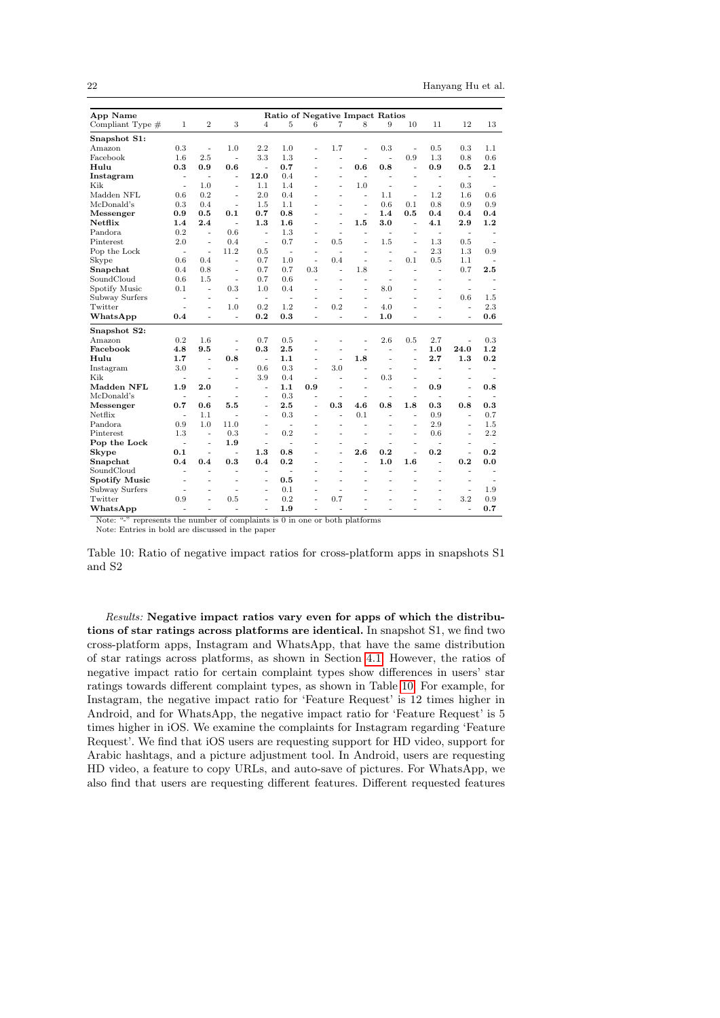22 Hanyang Hu et al.

<span id="page-21-0"></span>

| App Name             | Ratio of Negative Impact Ratios |                          |                          |                          |                          |                          |                          |                          |                          |                          |                          |                          |                |
|----------------------|---------------------------------|--------------------------|--------------------------|--------------------------|--------------------------|--------------------------|--------------------------|--------------------------|--------------------------|--------------------------|--------------------------|--------------------------|----------------|
| Compliant Type $#$   | $\mathbf{1}$                    | $\overline{2}$           | 3                        | $\overline{4}$           | $\overline{5}$           | 6                        | 7                        | 8                        | 9                        | 10                       | 11                       | 12                       | 13             |
| Snapshot S1:         |                                 |                          |                          |                          |                          |                          |                          |                          |                          |                          |                          |                          |                |
| Amazon               | 0.3                             | $\overline{a}$           | 1.0                      | 2.2                      | 1.0                      | L,                       | 1.7                      | ä,                       | 0.3                      | $\overline{\phantom{a}}$ | 0.5                      | 0.3                      | 1.1            |
| Facebook             | 1.6                             | 2.5                      | L.                       | 3.3                      | 1.3                      | ÷.                       | ÷                        | $\overline{\phantom{a}}$ | $\overline{a}$           | 0.9                      | 1.3                      | 0.8                      | 0.6            |
| Hulu                 | 0.3                             | 0.9                      | 0.6                      | $\overline{\phantom{a}}$ | 0.7                      | ÷,                       | $\overline{\phantom{a}}$ | 0.6                      | 0.8                      | $\overline{\phantom{a}}$ | 0.9                      | 0.5                      | 2.1            |
| Instagram            | L,                              | L,                       | ä,                       | 12.0                     | 0.4                      | $\overline{\phantom{a}}$ | $\overline{\phantom{a}}$ | ÷.                       | ÷.                       | ٠                        | $\overline{a}$           | ä,                       | $\overline{a}$ |
| Kik                  | $\overline{a}$                  | 1.0                      | $\overline{\phantom{a}}$ | 1.1                      | 1.4                      |                          | ä,                       | 1.0                      | ٠                        |                          | $\overline{\phantom{a}}$ | 0.3                      | ä,             |
| Madden NFL           | 0.6                             | 0.2                      | ä,                       | 2.0                      | 0.4                      | ٠                        | $\overline{a}$           | ÷.                       | 1.1                      | $\overline{\phantom{a}}$ | 1.2                      | 1.6                      | 0.6            |
| McDonald's           | 0.3                             | 0.4                      | ä,                       | 1.5                      | 1.1                      | ٠                        | ٠                        | L.                       | 0.6                      | 0.1                      | 0.8                      | 0.9                      | 0.9            |
| Messenger            | 0.9                             | 0.5                      | 0.1                      | 0.7                      | 0.8                      | ٠                        | ٠                        | $\overline{a}$           | 1.4                      | 0.5                      | 0.4                      | 0.4                      | 0.4            |
| Netflix              | 1.4                             | 2.4                      | ÷,                       | 1.3                      | 1.6                      |                          | ä,                       | 1.5                      | 3.0                      | $\overline{\phantom{a}}$ | 4.1                      | 2.9                      | 1.2            |
| Pandora              | 0.2                             | L,                       | 0.6                      | L,                       | 1.3                      | ٠                        | ÷,                       | ÷,                       | $\overline{\phantom{a}}$ | ä,                       | $\overline{\phantom{a}}$ | $\overline{\phantom{a}}$ | ٠              |
| <b>Pinterest</b>     | 2.0                             | $\overline{a}$           | 0.4                      | $\overline{\phantom{a}}$ | 0.7                      | $\overline{\phantom{a}}$ | 0.5                      | $\overline{\phantom{a}}$ | 1.5                      | $\overline{\phantom{a}}$ | 1.3                      | 0.5                      | $\overline{a}$ |
| Pop the Lock         | $\overline{\phantom{a}}$        | L,                       | 11.2                     | 0.5                      | $\sim$                   | ÷                        | ÷,                       | ٠                        | $\overline{\phantom{a}}$ | ÷,                       | 2.3                      | 1.3                      | 0.9            |
| Skype                | 0.6                             | 0.4                      | L,                       | 0.7                      | 1.0                      | L.                       | 0.4                      | $\overline{\phantom{a}}$ |                          | 0.1                      | 0.5                      | 1.1                      | $\overline{a}$ |
| Snapchat             | 0.4                             | 0.8                      | ä,                       | 0.7                      | 0.7                      | 0.3                      | $\overline{\phantom{a}}$ | 1.8                      | $\overline{\phantom{a}}$ | $\overline{\phantom{a}}$ | ä,                       | 0.7                      | 2.5            |
| SoundCloud           | 0.6                             | 1.5                      | ä,                       | 0.7                      | 0.6                      | $\overline{a}$           | ÷                        | $\overline{a}$           | $\overline{a}$           |                          | $\overline{a}$           | $\overline{a}$           |                |
| Spotify Music        | 0.1                             | L,                       | 0.3                      | 1.0                      | 0.4                      | ÷.                       | ÷.                       | ä,                       | 8.0                      | ÷.                       | $\overline{a}$           | $\overline{a}$           | $\overline{a}$ |
| Subway Surfers       | L,                              | $\overline{a}$           | ä,                       | $\overline{a}$           | $\overline{\phantom{a}}$ | ٠                        | $\overline{a}$           | $\overline{\phantom{a}}$ | $\overline{a}$           | ٠                        | ä,                       | 0.6                      | 1.5            |
| Twitter              | ÷,                              | ٠                        | 1.0                      | 0.2                      | 1.2                      | ÷,                       | 0.2                      | $\overline{\phantom{a}}$ | 4.0                      |                          | ٠                        |                          | 2.3            |
| WhatsApp             | 0.4                             | L,                       | ÷,                       | 0.2                      | 0.3                      | ÷,                       | $\overline{\phantom{a}}$ | ÷,                       | 1.0                      | ÷,                       | ä,                       | $\overline{a}$           | 0.6            |
| Snapshot S2:         |                                 |                          |                          |                          |                          |                          |                          |                          |                          |                          |                          |                          |                |
| Amazon               | 0.2                             | 1.6                      | ÷,                       | 0.7                      | 0.5                      |                          |                          | L,                       | 2.6                      | 0.5                      | 2.7                      |                          | 0.3            |
| Facebook             | 4.8                             | 9.5                      | L.                       | 0.3                      | 2.5                      |                          | $\overline{\phantom{a}}$ | L,                       | ÷,                       | L.                       | 1.0                      | 24.0                     | 1.2            |
| Hulu                 | 1.7                             | $\overline{a}$           | 0.8                      | $\sim$                   | 1.1                      | ä,                       | $\overline{a}$           | 1.8                      | ä,                       | L,                       | 2.7                      | 1.3                      | 0.2            |
| Instagram            | 3.0                             | ٠                        | ٠                        | 0.6                      | 0.3                      | $\overline{\phantom{a}}$ | 3.0                      | $\overline{\phantom{a}}$ | $\overline{\phantom{a}}$ | ٠                        | $\overline{\phantom{a}}$ | ÷.                       | ٠              |
| Kik                  | ٠                               | ٠                        | ٠                        | 3.9                      | 0.4                      | ÷                        | ٠                        | ÷,                       | 0.3                      | ٠                        | ٠                        |                          |                |
| Madden NFL           | 1.9                             | 2.0                      | $\overline{\phantom{a}}$ | $\overline{\phantom{a}}$ | 1.1                      | 0.9                      | ÷.                       | $\overline{\phantom{a}}$ | $\overline{\phantom{a}}$ | ä,                       | 0.9                      | L.                       | 0.8            |
| McDonald's           |                                 | L,                       | ÷,                       | $\overline{a}$           | 0.3                      | $\overline{\phantom{a}}$ | $\overline{\phantom{a}}$ | $\overline{\phantom{a}}$ | ä,                       | ä,                       |                          |                          |                |
| Messenger            | 0.7                             | 0.6                      | 5.5                      | $\overline{a}$           | 2.5                      | $\overline{\phantom{a}}$ | 0.3                      | 4.6                      | 0.8                      | 1.8                      | 0.3                      | 0.8                      | 0.3            |
| Netflix              | ÷,                              | 1.1                      | ÷,                       | ä,                       | 0.3                      | $\overline{\phantom{a}}$ | $\overline{\phantom{a}}$ | 0.1                      | ٠                        | ÷,                       | 0.9                      | ä,                       | 0.7            |
| Pandora              | 0.9                             | 1.0                      | 11.0                     | $\overline{a}$           | $\overline{\phantom{a}}$ | ٠                        | ÷.                       | $\overline{\phantom{a}}$ | ٠                        | $\overline{\phantom{a}}$ | 2.9                      | $\overline{a}$           | 1.5            |
| Pinterest            | 1.3                             | ÷,                       | 0.3                      | ä,                       | 0.2                      | ÷.                       | $\overline{\phantom{a}}$ | $\overline{\phantom{a}}$ |                          | ä,                       | 0.6                      | ٠                        | 2.2            |
| Pop the Lock         | L,                              | $\overline{a}$           | 1.9                      | $\overline{a}$           | $\overline{a}$           |                          | $\overline{a}$           | $\overline{a}$           | L,                       | $\overline{a}$           | $\overline{\phantom{a}}$ | ٠                        | $\overline{a}$ |
| Skype                | 0.1                             | $\overline{\phantom{a}}$ | $\overline{\phantom{a}}$ | 1.3                      | 0.8                      | ٠                        | $\overline{a}$           | 2.6                      | 0.2                      | $\overline{\phantom{a}}$ | 0.2                      | $\overline{a}$           | 0.2            |
| Snapchat             | 0.4                             | 0.4                      | 0.3                      | 0.4                      | 0.2                      | ٠                        | ٠                        | ÷,                       | 1.0                      | $1.6\,$                  | $\overline{\phantom{a}}$ | 0.2                      | 0.0            |
| SoundCloud           | ä,                              | ٠                        | ٠                        | ÷.                       | $\overline{\phantom{a}}$ |                          | ÷                        | $\overline{\phantom{a}}$ | ٠                        |                          | ٠                        | ÷.                       | ٠              |
| <b>Spotify Music</b> | L,                              | ÷.                       | ٠                        | ä,                       | 0.5                      | ٠                        | ÷                        | ä,                       | L.                       |                          | ÷.                       | ٠                        |                |
| Subway Surfers       | ÷,                              | $\overline{a}$           | $\overline{a}$           | $\overline{a}$           | 0.1                      | ÷,                       | $\overline{a}$           | $\overline{a}$           | $\overline{a}$           | $\overline{a}$           | $\overline{a}$           | $\overline{a}$           | 1.9            |
| Twitter              | 0.9                             | ä,                       | 0.5                      | $\overline{a}$           | 0.2                      | ÷                        | 0.7                      | ٠                        | L,                       | ٠                        | $\overline{\phantom{a}}$ | 3.2                      | 0.9            |
| WhatsApp             | L,                              | ä,                       | ÷,                       | L,                       | 1.9                      | ÷,                       | L,                       | ÷.                       | J.                       | ÷.                       | $\overline{\phantom{a}}$ | $\overline{a}$           | 0.7            |

Note: "-" represents the number of complaints is 0 in one or both platforms

Note: Entries in bold are discussed in the paper

Table 10: Ratio of negative impact ratios for cross-platform apps in snapshots S1 and S2

Results: Negative impact ratios vary even for apps of which the distributions of star ratings across platforms are identical. In snapshot S1, we find two cross-platform apps, Instagram and WhatsApp, that have the same distribution of star ratings across platforms, as shown in Section [4.1.](#page-8-1) However, the ratios of negative impact ratio for certain complaint types show differences in users' star ratings towards different complaint types, as shown in Table [10.](#page-21-0) For example, for Instagram, the negative impact ratio for 'Feature Request' is 12 times higher in Android, and for WhatsApp, the negative impact ratio for 'Feature Request' is 5 times higher in iOS. We examine the complaints for Instagram regarding 'Feature Request'. We find that iOS users are requesting support for HD video, support for Arabic hashtags, and a picture adjustment tool. In Android, users are requesting HD video, a feature to copy URLs, and auto-save of pictures. For WhatsApp, we also find that users are requesting different features. Different requested features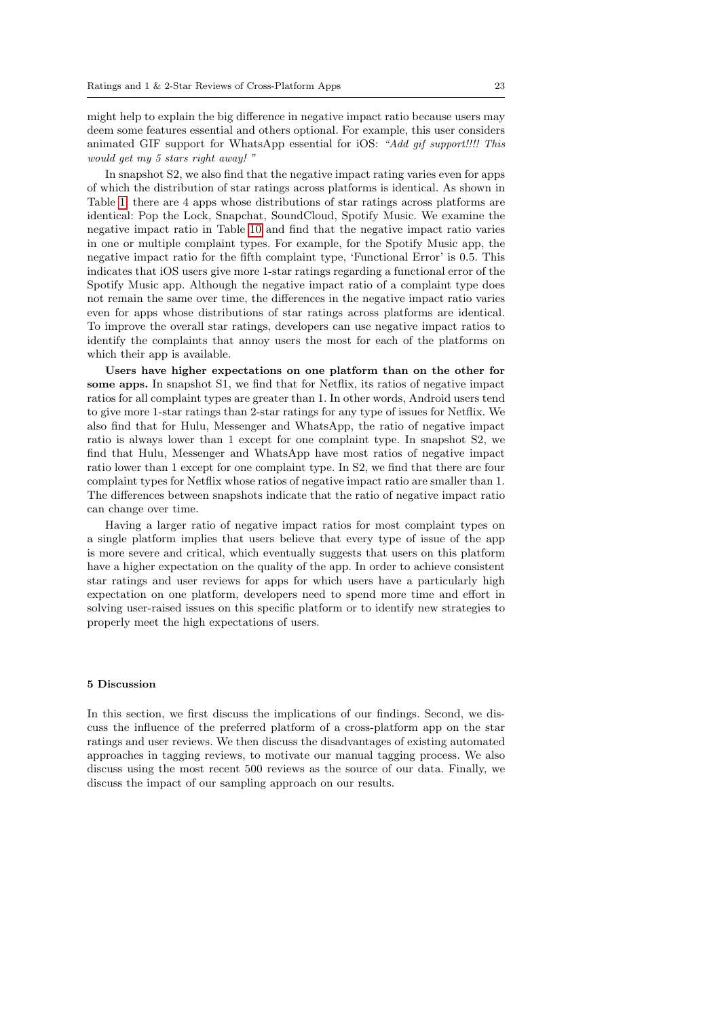might help to explain the big difference in negative impact ratio because users may deem some features essential and others optional. For example, this user considers animated GIF support for WhatsApp essential for iOS: "Add gif support!!!! This would get my 5 stars right away! "

In snapshot S2, we also find that the negative impact rating varies even for apps of which the distribution of star ratings across platforms is identical. As shown in Table [1,](#page-10-0) there are 4 apps whose distributions of star ratings across platforms are identical: Pop the Lock, Snapchat, SoundCloud, Spotify Music. We examine the negative impact ratio in Table [10](#page-21-0) and find that the negative impact ratio varies in one or multiple complaint types. For example, for the Spotify Music app, the negative impact ratio for the fifth complaint type, 'Functional Error' is 0.5. This indicates that iOS users give more 1-star ratings regarding a functional error of the Spotify Music app. Although the negative impact ratio of a complaint type does not remain the same over time, the differences in the negative impact ratio varies even for apps whose distributions of star ratings across platforms are identical. To improve the overall star ratings, developers can use negative impact ratios to identify the complaints that annoy users the most for each of the platforms on which their app is available.

Users have higher expectations on one platform than on the other for some apps. In snapshot S1, we find that for Netflix, its ratios of negative impact ratios for all complaint types are greater than 1. In other words, Android users tend to give more 1-star ratings than 2-star ratings for any type of issues for Netflix. We also find that for Hulu, Messenger and WhatsApp, the ratio of negative impact ratio is always lower than 1 except for one complaint type. In snapshot S2, we find that Hulu, Messenger and WhatsApp have most ratios of negative impact ratio lower than 1 except for one complaint type. In S2, we find that there are four complaint types for Netflix whose ratios of negative impact ratio are smaller than 1. The differences between snapshots indicate that the ratio of negative impact ratio can change over time.

Having a larger ratio of negative impact ratios for most complaint types on a single platform implies that users believe that every type of issue of the app is more severe and critical, which eventually suggests that users on this platform have a higher expectation on the quality of the app. In order to achieve consistent star ratings and user reviews for apps for which users have a particularly high expectation on one platform, developers need to spend more time and effort in solving user-raised issues on this specific platform or to identify new strategies to properly meet the high expectations of users.

#### <span id="page-22-0"></span>5 Discussion

In this section, we first discuss the implications of our findings. Second, we discuss the influence of the preferred platform of a cross-platform app on the star ratings and user reviews. We then discuss the disadvantages of existing automated approaches in tagging reviews, to motivate our manual tagging process. We also discuss using the most recent 500 reviews as the source of our data. Finally, we discuss the impact of our sampling approach on our results.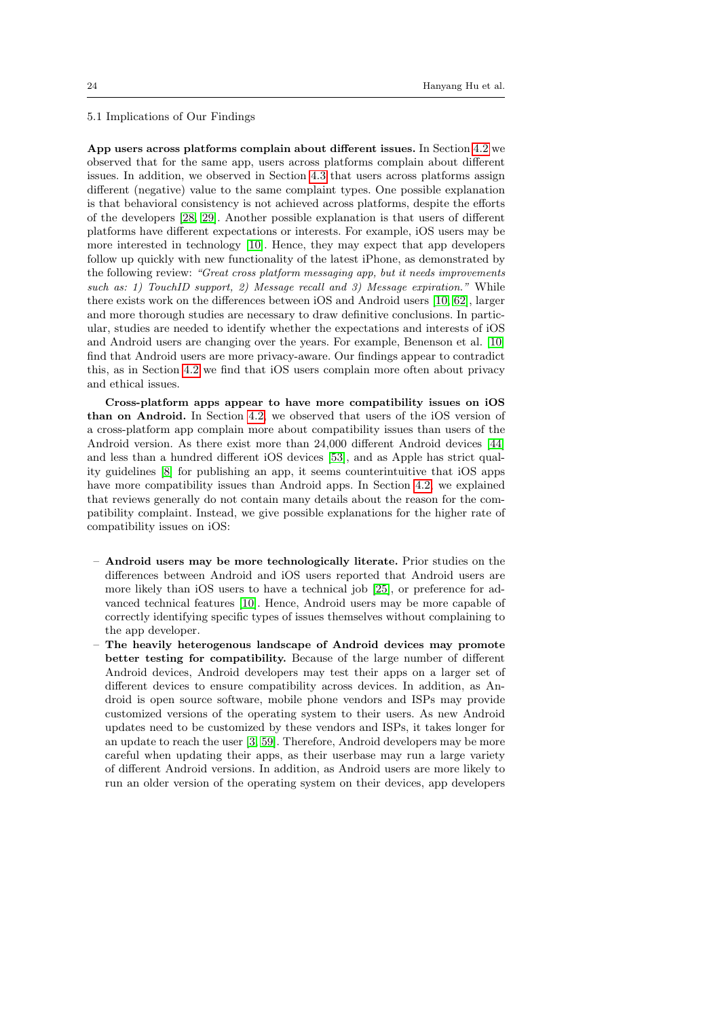# <span id="page-23-0"></span>5.1 Implications of Our Findings

App users across platforms complain about different issues. In Section [4.2](#page-12-1) we observed that for the same app, users across platforms complain about different issues. In addition, we observed in Section [4.3](#page-19-0) that users across platforms assign different (negative) value to the same complaint types. One possible explanation is that behavioral consistency is not achieved across platforms, despite the efforts of the developers [\[28,](#page-31-1) [29\]](#page-31-2). Another possible explanation is that users of different platforms have different expectations or interests. For example, iOS users may be more interested in technology [\[10\]](#page-30-18). Hence, they may expect that app developers follow up quickly with new functionality of the latest iPhone, as demonstrated by the following review: "Great cross platform messaging app, but it needs improvements such as: 1) TouchID support, 2) Message recall and 3) Message expiration." While there exists work on the differences between iOS and Android users [\[10,](#page-30-18) [62\]](#page-33-5), larger and more thorough studies are necessary to draw definitive conclusions. In particular, studies are needed to identify whether the expectations and interests of iOS and Android users are changing over the years. For example, Benenson et al. [\[10\]](#page-30-18) find that Android users are more privacy-aware. Our findings appear to contradict this, as in Section [4.2](#page-12-1) we find that iOS users complain more often about privacy and ethical issues.

Cross-platform apps appear to have more compatibility issues on iOS than on Android. In Section [4.2,](#page-12-1) we observed that users of the iOS version of a cross-platform app complain more about compatibility issues than users of the Android version. As there exist more than 24,000 different Android devices [\[44\]](#page-32-15) and less than a hundred different iOS devices [\[53\]](#page-32-16), and as Apple has strict quality guidelines [\[8\]](#page-30-16) for publishing an app, it seems counterintuitive that iOS apps have more compatibility issues than Android apps. In Section [4.2,](#page-12-1) we explained that reviews generally do not contain many details about the reason for the compatibility complaint. Instead, we give possible explanations for the higher rate of compatibility issues on iOS:

- Android users may be more technologically literate. Prior studies on the differences between Android and iOS users reported that Android users are more likely than iOS users to have a technical job [\[25\]](#page-31-15), or preference for advanced technical features [\[10\]](#page-30-18). Hence, Android users may be more capable of correctly identifying specific types of issues themselves without complaining to the app developer.
- The heavily heterogenous landscape of Android devices may promote better testing for compatibility. Because of the large number of different Android devices, Android developers may test their apps on a larger set of different devices to ensure compatibility across devices. In addition, as Android is open source software, mobile phone vendors and ISPs may provide customized versions of the operating system to their users. As new Android updates need to be customized by these vendors and ISPs, it takes longer for an update to reach the user [\[3,](#page-30-19) [59\]](#page-32-17). Therefore, Android developers may be more careful when updating their apps, as their userbase may run a large variety of different Android versions. In addition, as Android users are more likely to run an older version of the operating system on their devices, app developers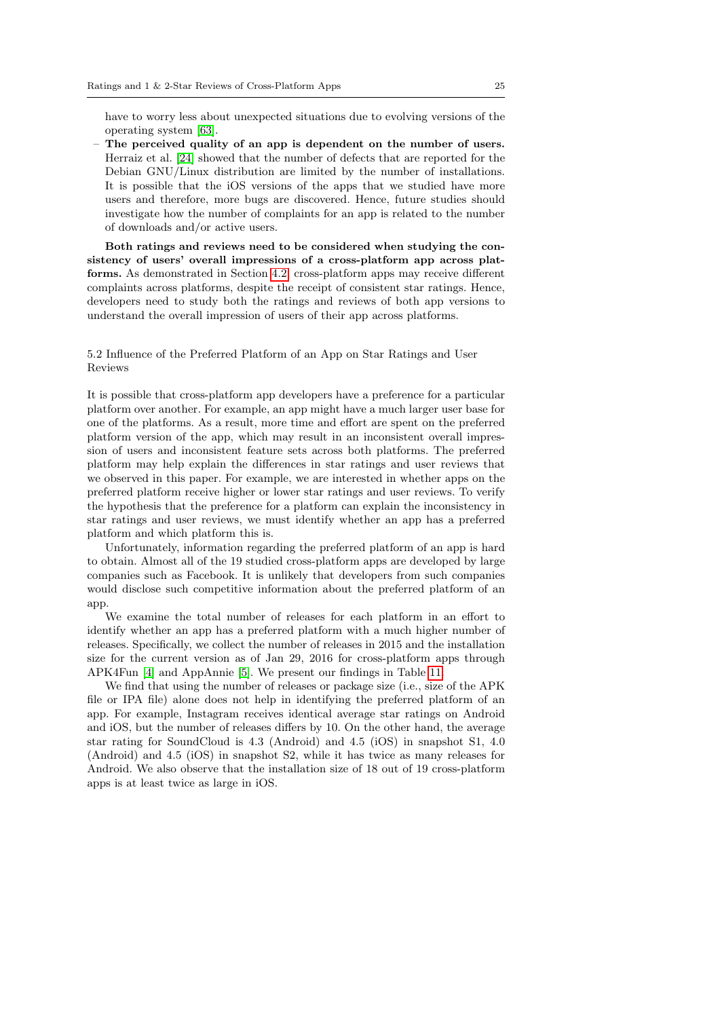have to worry less about unexpected situations due to evolving versions of the operating system [\[63\]](#page-33-6).

– The perceived quality of an app is dependent on the number of users. Herraiz et al. [\[24\]](#page-31-16) showed that the number of defects that are reported for the Debian GNU/Linux distribution are limited by the number of installations. It is possible that the iOS versions of the apps that we studied have more users and therefore, more bugs are discovered. Hence, future studies should investigate how the number of complaints for an app is related to the number of downloads and/or active users.

Both ratings and reviews need to be considered when studying the consistency of users' overall impressions of a cross-platform app across platforms. As demonstrated in Section [4.2,](#page-12-1) cross-platform apps may receive different complaints across platforms, despite the receipt of consistent star ratings. Hence, developers need to study both the ratings and reviews of both app versions to understand the overall impression of users of their app across platforms.

# <span id="page-24-0"></span>5.2 Influence of the Preferred Platform of an App on Star Ratings and User Reviews

It is possible that cross-platform app developers have a preference for a particular platform over another. For example, an app might have a much larger user base for one of the platforms. As a result, more time and effort are spent on the preferred platform version of the app, which may result in an inconsistent overall impression of users and inconsistent feature sets across both platforms. The preferred platform may help explain the differences in star ratings and user reviews that we observed in this paper. For example, we are interested in whether apps on the preferred platform receive higher or lower star ratings and user reviews. To verify the hypothesis that the preference for a platform can explain the inconsistency in star ratings and user reviews, we must identify whether an app has a preferred platform and which platform this is.

Unfortunately, information regarding the preferred platform of an app is hard to obtain. Almost all of the 19 studied cross-platform apps are developed by large companies such as Facebook. It is unlikely that developers from such companies would disclose such competitive information about the preferred platform of an app.

We examine the total number of releases for each platform in an effort to identify whether an app has a preferred platform with a much higher number of releases. Specifically, we collect the number of releases in 2015 and the installation size for the current version as of Jan 29, 2016 for cross-platform apps through APK4Fun [\[4\]](#page-30-20) and AppAnnie [\[5\]](#page-30-12). We present our findings in Table [11.](#page-25-0)

We find that using the number of releases or package size (i.e., size of the APK file or IPA file) alone does not help in identifying the preferred platform of an app. For example, Instagram receives identical average star ratings on Android and iOS, but the number of releases differs by 10. On the other hand, the average star rating for SoundCloud is 4.3 (Android) and 4.5 (iOS) in snapshot S1, 4.0 (Android) and 4.5 (iOS) in snapshot S2, while it has twice as many releases for Android. We also observe that the installation size of 18 out of 19 cross-platform apps is at least twice as large in iOS.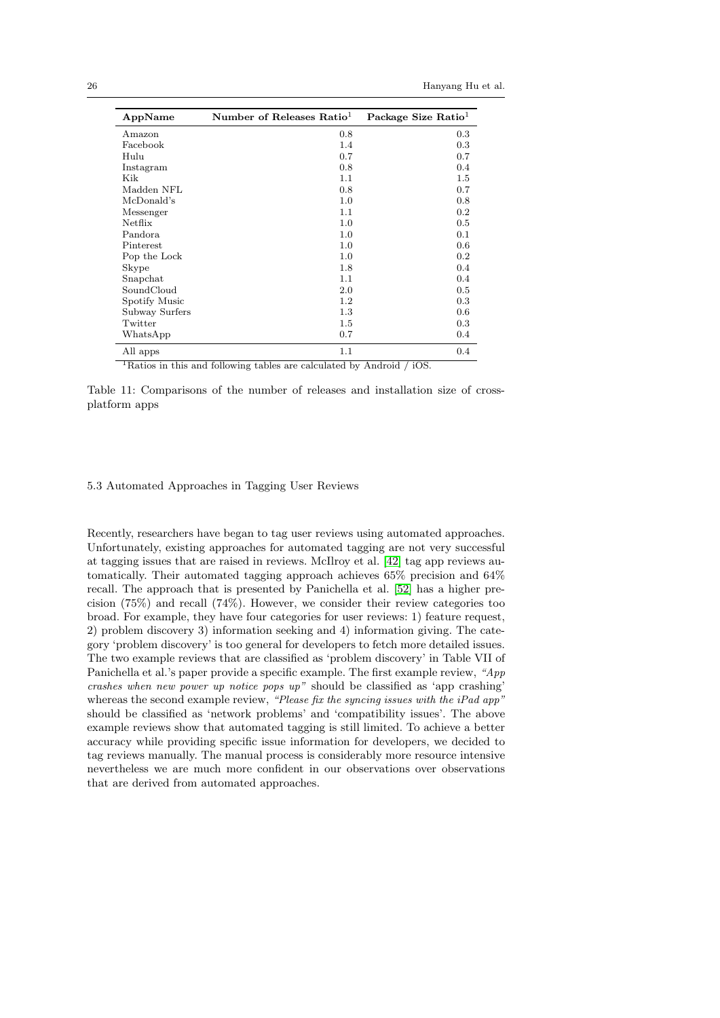<span id="page-25-0"></span>

| AppName        | Number of Releases Ratio <sup>1</sup> | Package Size Ratio <sup>1</sup> |
|----------------|---------------------------------------|---------------------------------|
| Amazon         | 0.8                                   | $0.3\,$                         |
| Facebook       | $1.4\,$                               | 0.3                             |
| Hulu           | 0.7                                   | 0.7                             |
| Instagram      | 0.8                                   | 0.4                             |
| Kik            | 1.1                                   | $1.5\,$                         |
| Madden NFL     | 0.8                                   | 0.7                             |
| McDonald's     | 1.0                                   | 0.8                             |
| Messenger      | 1.1                                   | 0.2                             |
| Netflix        | 1.0                                   | 0.5                             |
| Pandora        | 1.0                                   | 0.1                             |
| Pinterest      | 1.0                                   | 0.6                             |
| Pop the Lock   | 1.0                                   | 0.2                             |
| Skype          | 1.8                                   | 0.4                             |
| Snapchat       | 1.1                                   | 0.4                             |
| SoundCloud     | 2.0                                   | 0.5                             |
| Spotify Music  | 1.2                                   | 0.3                             |
| Subway Surfers | $1.3\,$                               | 0.6                             |
| Twitter        | 1.5                                   | 0.3                             |
| WhatsApp       | 0.7                                   | $0.4\,$                         |
| All apps       | 1.1                                   | 0.4                             |

<sup>1</sup>Ratios in this and following tables are calculated by Android / iOS.

Table 11: Comparisons of the number of releases and installation size of crossplatform apps

### 5.3 Automated Approaches in Tagging User Reviews

Recently, researchers have began to tag user reviews using automated approaches. Unfortunately, existing approaches for automated tagging are not very successful at tagging issues that are raised in reviews. McIlroy et al. [\[42\]](#page-32-18) tag app reviews automatically. Their automated tagging approach achieves 65% precision and 64% recall. The approach that is presented by Panichella et al. [\[52\]](#page-32-10) has a higher precision (75%) and recall (74%). However, we consider their review categories too broad. For example, they have four categories for user reviews: 1) feature request, 2) problem discovery 3) information seeking and 4) information giving. The category 'problem discovery' is too general for developers to fetch more detailed issues. The two example reviews that are classified as 'problem discovery' in Table VII of Panichella et al.'s paper provide a specific example. The first example review, "App crashes when new power up notice pops up" should be classified as 'app crashing' whereas the second example review, "Please fix the syncing issues with the iPad app" should be classified as 'network problems' and 'compatibility issues'. The above example reviews show that automated tagging is still limited. To achieve a better accuracy while providing specific issue information for developers, we decided to tag reviews manually. The manual process is considerably more resource intensive nevertheless we are much more confident in our observations over observations that are derived from automated approaches.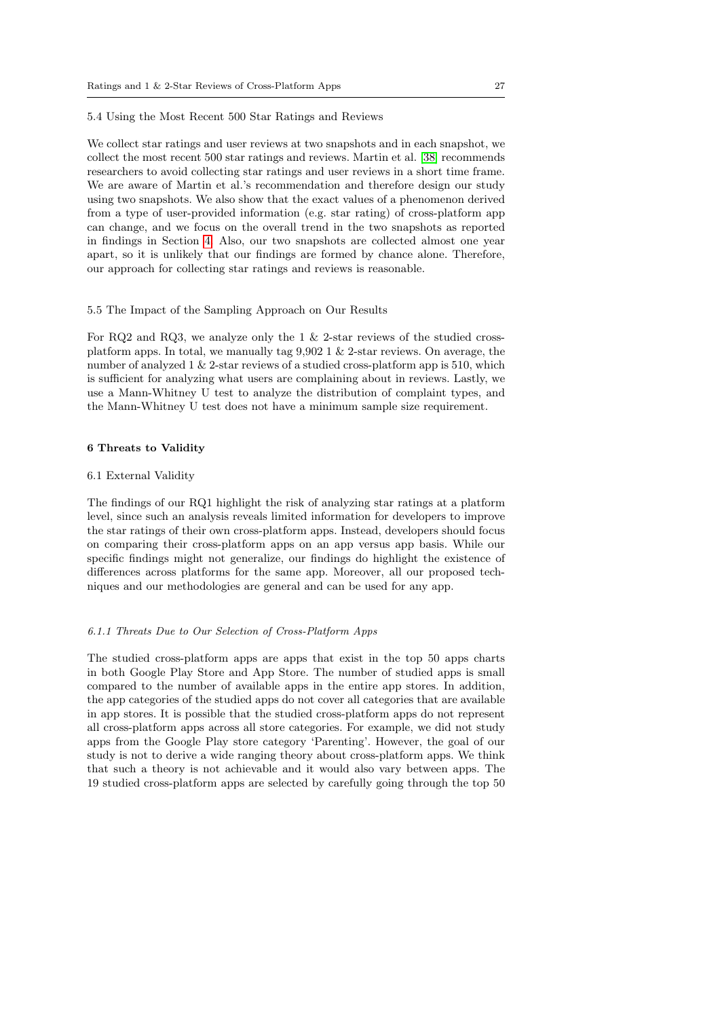#### 5.4 Using the Most Recent 500 Star Ratings and Reviews

We collect star ratings and user reviews at two snapshots and in each snapshot, we collect the most recent 500 star ratings and reviews. Martin et al. [\[38\]](#page-31-11) recommends researchers to avoid collecting star ratings and user reviews in a short time frame. We are aware of Martin et al.'s recommendation and therefore design our study using two snapshots. We also show that the exact values of a phenomenon derived from a type of user-provided information (e.g. star rating) of cross-platform app can change, and we focus on the overall trend in the two snapshots as reported in findings in Section [4.](#page-7-0) Also, our two snapshots are collected almost one year apart, so it is unlikely that our findings are formed by chance alone. Therefore, our approach for collecting star ratings and reviews is reasonable.

# 5.5 The Impact of the Sampling Approach on Our Results

For RQ2 and RQ3, we analyze only the 1 & 2-star reviews of the studied crossplatform apps. In total, we manually tag  $9,902$  1 & 2-star reviews. On average, the number of analyzed 1 & 2-star reviews of a studied cross-platform app is 510, which is sufficient for analyzing what users are complaining about in reviews. Lastly, we use a Mann-Whitney U test to analyze the distribution of complaint types, and the Mann-Whitney U test does not have a minimum sample size requirement.

# <span id="page-26-0"></span>6 Threats to Validity

# 6.1 External Validity

The findings of our RQ1 highlight the risk of analyzing star ratings at a platform level, since such an analysis reveals limited information for developers to improve the star ratings of their own cross-platform apps. Instead, developers should focus on comparing their cross-platform apps on an app versus app basis. While our specific findings might not generalize, our findings do highlight the existence of differences across platforms for the same app. Moreover, all our proposed techniques and our methodologies are general and can be used for any app.

### 6.1.1 Threats Due to Our Selection of Cross-Platform Apps

The studied cross-platform apps are apps that exist in the top 50 apps charts in both Google Play Store and App Store. The number of studied apps is small compared to the number of available apps in the entire app stores. In addition, the app categories of the studied apps do not cover all categories that are available in app stores. It is possible that the studied cross-platform apps do not represent all cross-platform apps across all store categories. For example, we did not study apps from the Google Play store category 'Parenting'. However, the goal of our study is not to derive a wide ranging theory about cross-platform apps. We think that such a theory is not achievable and it would also vary between apps. The 19 studied cross-platform apps are selected by carefully going through the top 50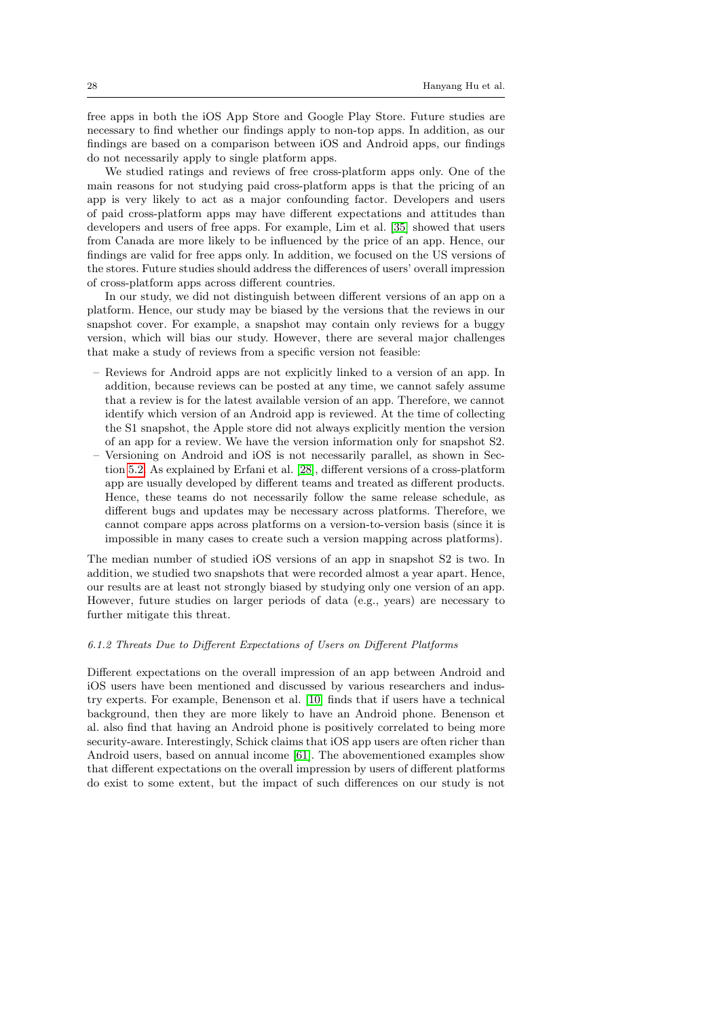free apps in both the iOS App Store and Google Play Store. Future studies are necessary to find whether our findings apply to non-top apps. In addition, as our findings are based on a comparison between iOS and Android apps, our findings do not necessarily apply to single platform apps.

We studied ratings and reviews of free cross-platform apps only. One of the main reasons for not studying paid cross-platform apps is that the pricing of an app is very likely to act as a major confounding factor. Developers and users of paid cross-platform apps may have different expectations and attitudes than developers and users of free apps. For example, Lim et al. [\[35\]](#page-31-17) showed that users from Canada are more likely to be influenced by the price of an app. Hence, our findings are valid for free apps only. In addition, we focused on the US versions of the stores. Future studies should address the differences of users' overall impression of cross-platform apps across different countries.

In our study, we did not distinguish between different versions of an app on a platform. Hence, our study may be biased by the versions that the reviews in our snapshot cover. For example, a snapshot may contain only reviews for a buggy version, which will bias our study. However, there are several major challenges that make a study of reviews from a specific version not feasible:

- Reviews for Android apps are not explicitly linked to a version of an app. In addition, because reviews can be posted at any time, we cannot safely assume that a review is for the latest available version of an app. Therefore, we cannot identify which version of an Android app is reviewed. At the time of collecting the S1 snapshot, the Apple store did not always explicitly mention the version of an app for a review. We have the version information only for snapshot S2.
- Versioning on Android and iOS is not necessarily parallel, as shown in Section [5.2.](#page-24-0) As explained by Erfani et al. [\[28\]](#page-31-1), different versions of a cross-platform app are usually developed by different teams and treated as different products. Hence, these teams do not necessarily follow the same release schedule, as different bugs and updates may be necessary across platforms. Therefore, we cannot compare apps across platforms on a version-to-version basis (since it is impossible in many cases to create such a version mapping across platforms).

The median number of studied iOS versions of an app in snapshot S2 is two. In addition, we studied two snapshots that were recorded almost a year apart. Hence, our results are at least not strongly biased by studying only one version of an app. However, future studies on larger periods of data (e.g., years) are necessary to further mitigate this threat.

# 6.1.2 Threats Due to Different Expectations of Users on Different Platforms

Different expectations on the overall impression of an app between Android and iOS users have been mentioned and discussed by various researchers and industry experts. For example, Benenson et al. [\[10\]](#page-30-18) finds that if users have a technical background, then they are more likely to have an Android phone. Benenson et al. also find that having an Android phone is positively correlated to being more security-aware. Interestingly, Schick claims that iOS app users are often richer than Android users, based on annual income [\[61\]](#page-33-7). The abovementioned examples show that different expectations on the overall impression by users of different platforms do exist to some extent, but the impact of such differences on our study is not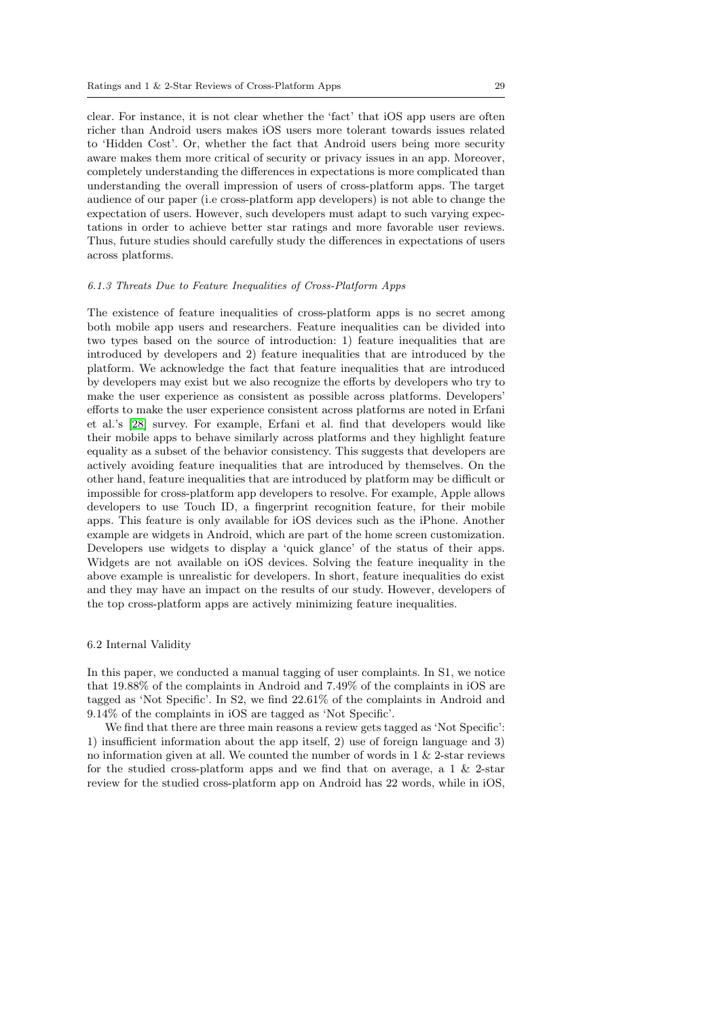clear. For instance, it is not clear whether the 'fact' that iOS app users are often richer than Android users makes iOS users more tolerant towards issues related to 'Hidden Cost'. Or, whether the fact that Android users being more security aware makes them more critical of security or privacy issues in an app. Moreover, completely understanding the differences in expectations is more complicated than understanding the overall impression of users of cross-platform apps. The target audience of our paper (i.e cross-platform app developers) is not able to change the expectation of users. However, such developers must adapt to such varying expectations in order to achieve better star ratings and more favorable user reviews. Thus, future studies should carefully study the differences in expectations of users across platforms.

### 6.1.3 Threats Due to Feature Inequalities of Cross-Platform Apps

The existence of feature inequalities of cross-platform apps is no secret among both mobile app users and researchers. Feature inequalities can be divided into two types based on the source of introduction: 1) feature inequalities that are introduced by developers and 2) feature inequalities that are introduced by the platform. We acknowledge the fact that feature inequalities that are introduced by developers may exist but we also recognize the efforts by developers who try to make the user experience as consistent as possible across platforms. Developers' efforts to make the user experience consistent across platforms are noted in Erfani et al.'s [\[28\]](#page-31-1) survey. For example, Erfani et al. find that developers would like their mobile apps to behave similarly across platforms and they highlight feature equality as a subset of the behavior consistency. This suggests that developers are actively avoiding feature inequalities that are introduced by themselves. On the other hand, feature inequalities that are introduced by platform may be difficult or impossible for cross-platform app developers to resolve. For example, Apple allows developers to use Touch ID, a fingerprint recognition feature, for their mobile apps. This feature is only available for iOS devices such as the iPhone. Another example are widgets in Android, which are part of the home screen customization. Developers use widgets to display a 'quick glance' of the status of their apps. Widgets are not available on iOS devices. Solving the feature inequality in the above example is unrealistic for developers. In short, feature inequalities do exist and they may have an impact on the results of our study. However, developers of the top cross-platform apps are actively minimizing feature inequalities.

# 6.2 Internal Validity

In this paper, we conducted a manual tagging of user complaints. In S1, we notice that 19.88% of the complaints in Android and 7.49% of the complaints in iOS are tagged as 'Not Specific'. In S2, we find 22.61% of the complaints in Android and 9.14% of the complaints in iOS are tagged as 'Not Specific'.

We find that there are three main reasons a review gets tagged as 'Not Specific': 1) insufficient information about the app itself, 2) use of foreign language and 3) no information given at all. We counted the number of words in  $1 \& 2$ -star reviews for the studied cross-platform apps and we find that on average, a 1 & 2-star review for the studied cross-platform app on Android has 22 words, while in iOS,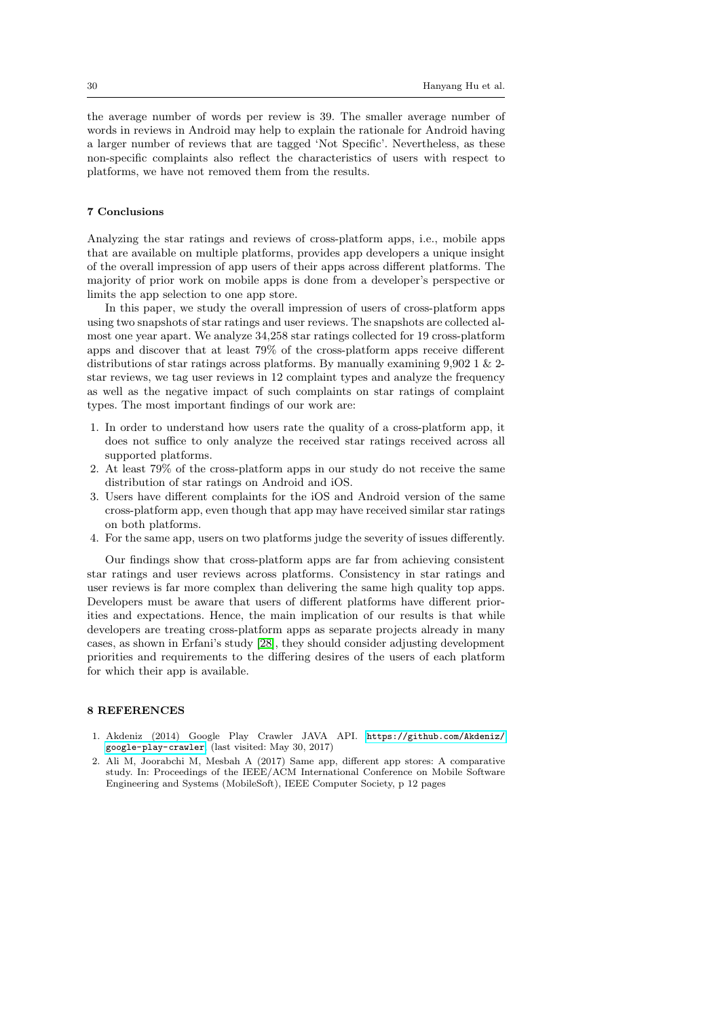the average number of words per review is 39. The smaller average number of words in reviews in Android may help to explain the rationale for Android having a larger number of reviews that are tagged 'Not Specific'. Nevertheless, as these non-specific complaints also reflect the characteristics of users with respect to platforms, we have not removed them from the results.

### <span id="page-29-0"></span>7 Conclusions

Analyzing the star ratings and reviews of cross-platform apps, i.e., mobile apps that are available on multiple platforms, provides app developers a unique insight of the overall impression of app users of their apps across different platforms. The majority of prior work on mobile apps is done from a developer's perspective or limits the app selection to one app store.

In this paper, we study the overall impression of users of cross-platform apps using two snapshots of star ratings and user reviews. The snapshots are collected almost one year apart. We analyze 34,258 star ratings collected for 19 cross-platform apps and discover that at least 79% of the cross-platform apps receive different distributions of star ratings across platforms. By manually examining 9,902 1 & 2 star reviews, we tag user reviews in 12 complaint types and analyze the frequency as well as the negative impact of such complaints on star ratings of complaint types. The most important findings of our work are:

- 1. In order to understand how users rate the quality of a cross-platform app, it does not suffice to only analyze the received star ratings received across all supported platforms.
- 2. At least 79% of the cross-platform apps in our study do not receive the same distribution of star ratings on Android and iOS.
- 3. Users have different complaints for the iOS and Android version of the same cross-platform app, even though that app may have received similar star ratings on both platforms.
- 4. For the same app, users on two platforms judge the severity of issues differently.

Our findings show that cross-platform apps are far from achieving consistent star ratings and user reviews across platforms. Consistency in star ratings and user reviews is far more complex than delivering the same high quality top apps. Developers must be aware that users of different platforms have different priorities and expectations. Hence, the main implication of our results is that while developers are treating cross-platform apps as separate projects already in many cases, as shown in Erfani's study [\[28\]](#page-31-1), they should consider adjusting development priorities and requirements to the differing desires of the users of each platform for which their app is available.

### 8 REFERENCES

- <span id="page-29-2"></span>1. Akdeniz (2014) Google Play Crawler JAVA API. [https://github.com/Akdeniz/](https://github.com/Akdeniz/google-play-crawler) [google-play-crawler](https://github.com/Akdeniz/google-play-crawler), (last visited: May 30, 2017)
- <span id="page-29-1"></span>2. Ali M, Joorabchi M, Mesbah A (2017) Same app, different app stores: A comparative study. In: Proceedings of the IEEE/ACM International Conference on Mobile Software Engineering and Systems (MobileSoft), IEEE Computer Society, p 12 pages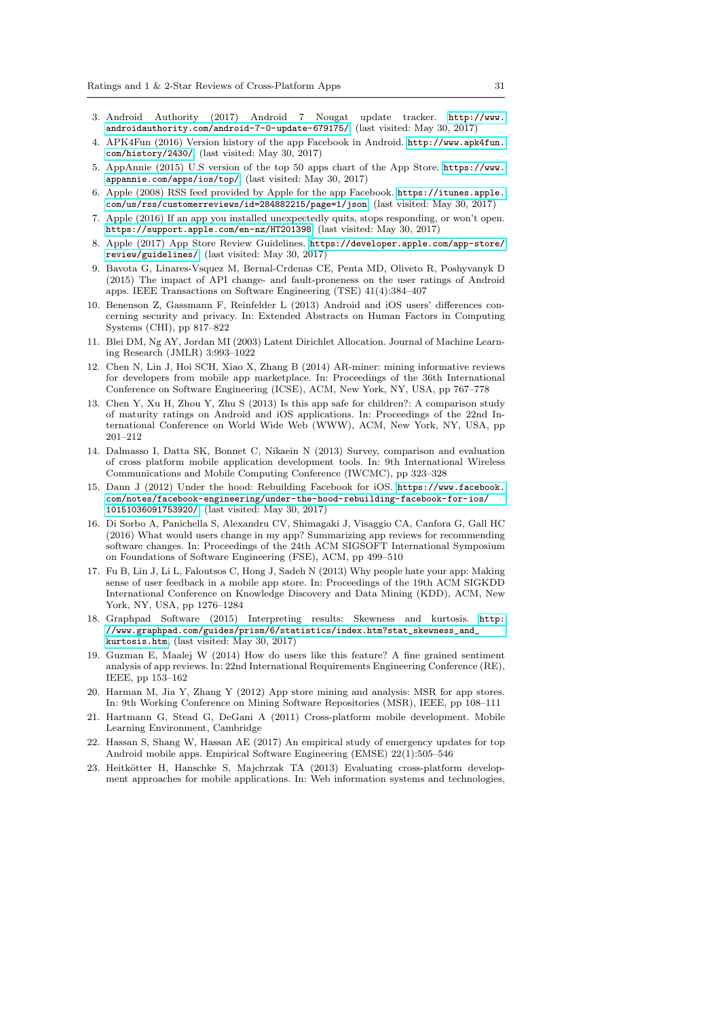- <span id="page-30-19"></span>3. Android Authority (2017) Android 7 Nougat update tracker. [http://www.](http://www.androidauthority.com/android-7-0-update-679175/) [androidauthority.com/android-7-0-update-679175/](http://www.androidauthority.com/android-7-0-update-679175/), (last visited: May 30, 2017)
- <span id="page-30-20"></span>4. APK4Fun (2016) Version history of the app Facebook in Android. [http://www.apk4fun.](http://www.apk4fun.com/history/2430/) [com/history/2430/](http://www.apk4fun.com/history/2430/), (last visited: May 30, 2017)
- <span id="page-30-12"></span>5. AppAnnie (2015) U.S version of the top 50 apps chart of the App Store. [https://www.](https://www.appannie.com/apps/ios/top/) [appannie.com/apps/ios/top/](https://www.appannie.com/apps/ios/top/), (last visited: May 30, 2017)
- <span id="page-30-13"></span>6. Apple (2008) RSS feed provided by Apple for the app Facebook. [https://itunes.apple.](https://itunes.apple.com/us/rss/customerreviews/id=284882215/page=1/json) [com/us/rss/customerreviews/id=284882215/page=1/json](https://itunes.apple.com/us/rss/customerreviews/id=284882215/page=1/json), (last visited: May 30, 2017)
- <span id="page-30-17"></span>7. Apple (2016) If an app you installed unexpectedly quits, stops responding, or won't open. <https://support.apple.com/en-nz/HT201398>, (last visited: May 30, 2017)
- <span id="page-30-16"></span>8. Apple (2017) App Store Review Guidelines. [https://developer.apple.com/app-store/](https://developer.apple.com/app-store/review/guidelines/) [review/guidelines/](https://developer.apple.com/app-store/review/guidelines/), (last visited: May 30, 2017)
- <span id="page-30-11"></span>9. Bavota G, Linares-Vsquez M, Bernal-Crdenas CE, Penta MD, Oliveto R, Poshyvanyk D (2015) The impact of API change- and fault-proneness on the user ratings of Android apps. IEEE Transactions on Software Engineering (TSE) 41(4):384–407
- <span id="page-30-18"></span>10. Benenson Z, Gassmann F, Reinfelder L (2013) Android and iOS users' differences concerning security and privacy. In: Extended Abstracts on Human Factors in Computing Systems (CHI), pp 817–822
- <span id="page-30-15"></span>11. Blei DM, Ng AY, Jordan MI (2003) Latent Dirichlet Allocation. Journal of Machine Learning Research (JMLR) 3:993–1022
- <span id="page-30-7"></span>12. Chen N, Lin J, Hoi SCH, Xiao X, Zhang B (2014) AR-miner: mining informative reviews for developers from mobile app marketplace. In: Proceedings of the 36th International Conference on Software Engineering (ICSE), ACM, New York, NY, USA, pp 767–778
- <span id="page-30-0"></span>13. Chen Y, Xu H, Zhou Y, Zhu S (2013) Is this app safe for children?: A comparison study of maturity ratings on Android and iOS applications. In: Proceedings of the 22nd International Conference on World Wide Web (WWW), ACM, New York, NY, USA, pp 201–212
- <span id="page-30-1"></span>14. Dalmasso I, Datta SK, Bonnet C, Nikaein N (2013) Survey, comparison and evaluation of cross platform mobile application development tools. In: 9th International Wireless Communications and Mobile Computing Conference (IWCMC), pp 323–328
- <span id="page-30-4"></span>15. Dann J (2012) Under the hood: Rebuilding Facebook for iOS. [https://www.facebook.](https://www.facebook.com/notes/facebook-engineering/under-the-hood-rebuilding-facebook-for-ios/10151036091753920/) [com/notes/facebook-engineering/under-the-hood-rebuilding-facebook-for-ios/](https://www.facebook.com/notes/facebook-engineering/under-the-hood-rebuilding-facebook-for-ios/10151036091753920/) [10151036091753920/](https://www.facebook.com/notes/facebook-engineering/under-the-hood-rebuilding-facebook-for-ios/10151036091753920/), (last visited: May 30, 2017)
- <span id="page-30-10"></span>16. Di Sorbo A, Panichella S, Alexandru CV, Shimagaki J, Visaggio CA, Canfora G, Gall HC (2016) What would users change in my app? Summarizing app reviews for recommending software changes. In: Proceedings of the 24th ACM SIGSOFT International Symposium on Foundations of Software Engineering (FSE), ACM, pp 499–510
- <span id="page-30-8"></span>17. Fu B, Lin J, Li L, Faloutsos C, Hong J, Sadeh N (2013) Why people hate your app: Making sense of user feedback in a mobile app store. In: Proceedings of the 19th ACM SIGKDD International Conference on Knowledge Discovery and Data Mining (KDD), ACM, New York, NY, USA, pp 1276–1284
- <span id="page-30-14"></span>18. Graphpad Software (2015) Interpreting results: Skewness and kurtosis. [http:](http://www.graphpad.com/guides/prism/6/statistics/index.htm?stat_skewness_and_kurtosis.htm) [//www.graphpad.com/guides/prism/6/statistics/index.htm?stat\\_skewness\\_and\\_](http://www.graphpad.com/guides/prism/6/statistics/index.htm?stat_skewness_and_kurtosis.htm) [kurtosis.htm](http://www.graphpad.com/guides/prism/6/statistics/index.htm?stat_skewness_and_kurtosis.htm), (last visited: May 30, 2017)
- <span id="page-30-9"></span>19. Guzman E, Maalej W (2014) How do users like this feature? A fine grained sentiment analysis of app reviews. In: 22nd International Requirements Engineering Conference (RE), IEEE, pp 153–162
- <span id="page-30-5"></span>20. Harman M, Jia Y, Zhang Y (2012) App store mining and analysis: MSR for app stores. In: 9th Working Conference on Mining Software Repositories (MSR), IEEE, pp 108–111
- <span id="page-30-2"></span>21. Hartmann G, Stead G, DeGani A (2011) Cross-platform mobile development. Mobile Learning Environment, Cambridge
- <span id="page-30-6"></span>22. Hassan S, Shang W, Hassan AE (2017) An empirical study of emergency updates for top Android mobile apps. Empirical Software Engineering (EMSE) 22(1):505–546
- <span id="page-30-3"></span>23. Heitkötter H, Hanschke S, Majchrzak TA (2013) Evaluating cross-platform development approaches for mobile applications. In: Web information systems and technologies,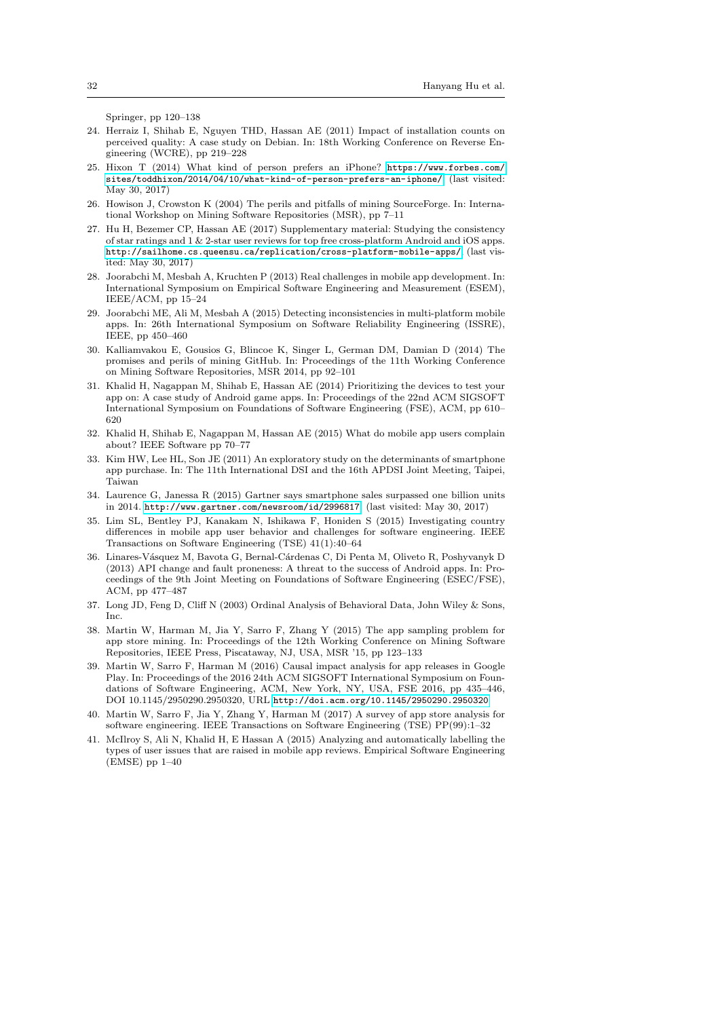Springer, pp 120–138

- <span id="page-31-16"></span>24. Herraiz I, Shihab E, Nguyen THD, Hassan AE (2011) Impact of installation counts on perceived quality: A case study on Debian. In: 18th Working Conference on Reverse Engineering (WCRE), pp 219–228
- <span id="page-31-15"></span>25. Hixon T (2014) What kind of person prefers an iPhone? [https://www.forbes.com/](https://www.forbes.com/sites/toddhixon/2014/04/10/what-kind-of-person-prefers-an-iphone/) [sites/toddhixon/2014/04/10/what-kind-of-person-prefers-an-iphone/](https://www.forbes.com/sites/toddhixon/2014/04/10/what-kind-of-person-prefers-an-iphone/), (last visited: May 30, 2017)
- <span id="page-31-9"></span>26. Howison J, Crowston K (2004) The perils and pitfalls of mining SourceForge. In: International Workshop on Mining Software Repositories (MSR), pp 7–11
- <span id="page-31-12"></span>27. Hu H, Bezemer CP, Hassan AE (2017) Supplementary material: Studying the consistency of star ratings and 1 & 2-star user reviews for top free cross-platform Android and iOS apps. <http://sailhome.cs.queensu.ca/replication/cross-platform-mobile-apps/>, (last visited: May 30, 2017)
- <span id="page-31-1"></span>28. Joorabchi M, Mesbah A, Kruchten P (2013) Real challenges in mobile app development. In: International Symposium on Empirical Software Engineering and Measurement (ESEM), IEEE/ACM, pp 15–24
- <span id="page-31-2"></span>29. Joorabchi ME, Ali M, Mesbah A (2015) Detecting inconsistencies in multi-platform mobile apps. In: 26th International Symposium on Software Reliability Engineering (ISSRE), IEEE, pp 450–460
- <span id="page-31-10"></span>30. Kalliamvakou E, Gousios G, Blincoe K, Singer L, German DM, Damian D (2014) The promises and perils of mining GitHub. In: Proceedings of the 11th Working Conference on Mining Software Repositories, MSR 2014, pp 92–101
- <span id="page-31-5"></span>31. Khalid H, Nagappan M, Shihab E, Hassan AE (2014) Prioritizing the devices to test your app on: A case study of Android game apps. In: Proceedings of the 22nd ACM SIGSOFT International Symposium on Foundations of Software Engineering (FSE), ACM, pp 610– 620
- <span id="page-31-4"></span>32. Khalid H, Shihab E, Nagappan M, Hassan AE (2015) What do mobile app users complain about? IEEE Software pp 70–77
- <span id="page-31-13"></span>33. Kim HW, Lee HL, Son JE (2011) An exploratory study on the determinants of smartphone app purchase. In: The 11th International DSI and the 16th APDSI Joint Meeting, Taipei, Taiwan
- <span id="page-31-0"></span>34. Laurence G, Janessa R (2015) Gartner says smartphone sales surpassed one billion units in 2014. <http://www.gartner.com/newsroom/id/2996817>, (last visited: May 30, 2017)
- <span id="page-31-17"></span>35. Lim SL, Bentley PJ, Kanakam N, Ishikawa F, Honiden S (2015) Investigating country differences in mobile app user behavior and challenges for software engineering. IEEE Transactions on Software Engineering (TSE) 41(1):40–64
- <span id="page-31-8"></span>36. Linares-V´asquez M, Bavota G, Bernal-C´ardenas C, Di Penta M, Oliveto R, Poshyvanyk D (2013) API change and fault proneness: A threat to the success of Android apps. In: Proceedings of the 9th Joint Meeting on Foundations of Software Engineering (ESEC/FSE), ACM, pp 477–487
- <span id="page-31-14"></span>37. Long JD, Feng D, Cliff N (2003) Ordinal Analysis of Behavioral Data, John Wiley & Sons, Inc.
- <span id="page-31-11"></span>38. Martin W, Harman M, Jia Y, Sarro F, Zhang Y (2015) The app sampling problem for app store mining. In: Proceedings of the 12th Working Conference on Mining Software Repositories, IEEE Press, Piscataway, NJ, USA, MSR '15, pp 123–133
- <span id="page-31-6"></span>39. Martin W, Sarro F, Harman M (2016) Causal impact analysis for app releases in Google Play. In: Proceedings of the 2016 24th ACM SIGSOFT International Symposium on Foundations of Software Engineering, ACM, New York, NY, USA, FSE 2016, pp 435–446, DOI 10.1145/2950290.2950320, URL <http://doi.acm.org/10.1145/2950290.2950320>
- <span id="page-31-3"></span>40. Martin W, Sarro F, Jia Y, Zhang Y, Harman M (2017) A survey of app store analysis for software engineering. IEEE Transactions on Software Engineering (TSE) PP(99):1–32
- <span id="page-31-7"></span>41. McIlroy S, Ali N, Khalid H, E Hassan A (2015) Analyzing and automatically labelling the types of user issues that are raised in mobile app reviews. Empirical Software Engineering (EMSE) pp 1–40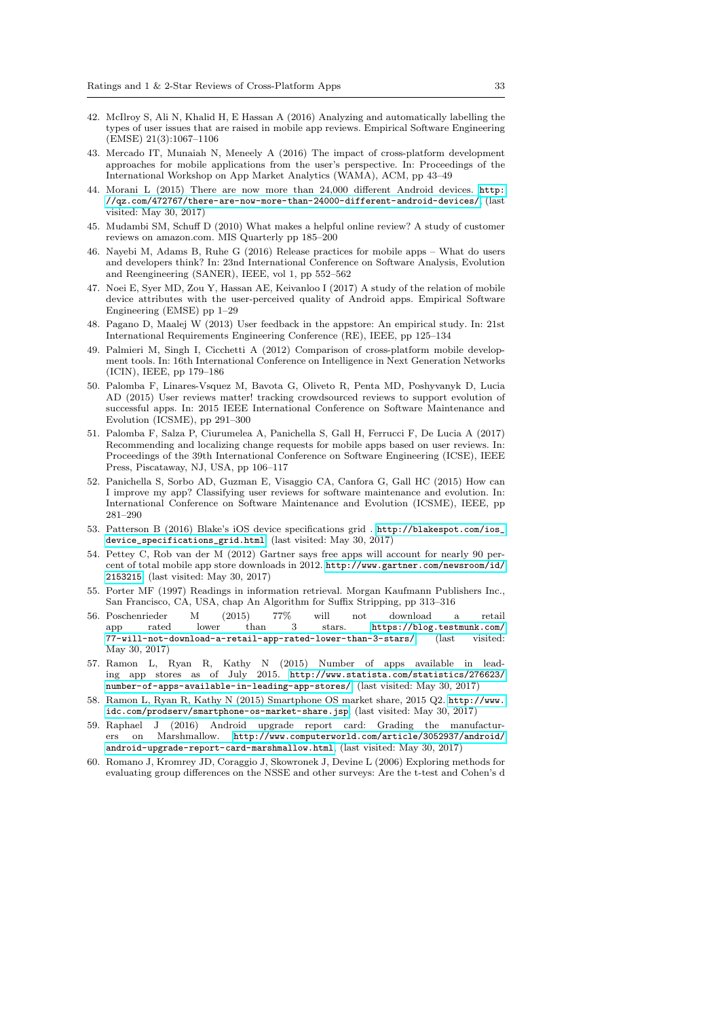- <span id="page-32-18"></span>42. McIlroy S, Ali N, Khalid H, E Hassan A (2016) Analyzing and automatically labelling the types of user issues that are raised in mobile app reviews. Empirical Software Engineering (EMSE) 21(3):1067–1106
- <span id="page-32-6"></span>43. Mercado IT, Munaiah N, Meneely A (2016) The impact of cross-platform development approaches for mobile applications from the user's perspective. In: Proceedings of the International Workshop on App Market Analytics (WAMA), ACM, pp 43–49
- <span id="page-32-15"></span>44. Morani L (2015) There are now more than 24,000 different Android devices. [http:](http://qz.com/472767/there-are-now-more-than-24000-different-android-devices/) [//qz.com/472767/there-are-now-more-than-24000-different-android-devices/](http://qz.com/472767/there-are-now-more-than-24000-different-android-devices/), (last visited: May 30, 2017)
- <span id="page-32-2"></span>45. Mudambi SM, Schuff D (2010) What makes a helpful online review? A study of customer reviews on amazon.com. MIS Quarterly pp 185–200
- <span id="page-32-4"></span>46. Nayebi M, Adams B, Ruhe G (2016) Release practices for mobile apps – What do users and developers think? In: 23nd International Conference on Software Analysis, Evolution and Reengineering (SANER), IEEE, vol 1, pp 552–562
- <span id="page-32-8"></span>47. Noei E, Syer MD, Zou Y, Hassan AE, Keivanloo I (2017) A study of the relation of mobile device attributes with the user-perceived quality of Android apps. Empirical Software Engineering (EMSE) pp 1–29
- <span id="page-32-7"></span>48. Pagano D, Maalej W (2013) User feedback in the appstore: An empirical study. In: 21st International Requirements Engineering Conference (RE), IEEE, pp 125–134
- <span id="page-32-5"></span>49. Palmieri M, Singh I, Cicchetti A (2012) Comparison of cross-platform mobile development tools. In: 16th International Conference on Intelligence in Next Generation Networks (ICIN), IEEE, pp 179–186
- <span id="page-32-9"></span>50. Palomba F, Linares-Vsquez M, Bavota G, Oliveto R, Penta MD, Poshyvanyk D, Lucia AD (2015) User reviews matter! tracking crowdsourced reviews to support evolution of successful apps. In: 2015 IEEE International Conference on Software Maintenance and Evolution (ICSME), pp 291–300
- <span id="page-32-11"></span>51. Palomba F, Salza P, Ciurumelea A, Panichella S, Gall H, Ferrucci F, De Lucia A (2017) Recommending and localizing change requests for mobile apps based on user reviews. In: Proceedings of the 39th International Conference on Software Engineering (ICSE), IEEE Press, Piscataway, NJ, USA, pp 106–117
- <span id="page-32-10"></span>52. Panichella S, Sorbo AD, Guzman E, Visaggio CA, Canfora G, Gall HC (2015) How can I improve my app? Classifying user reviews for software maintenance and evolution. In: International Conference on Software Maintenance and Evolution (ICSME), IEEE, pp 281–290
- <span id="page-32-16"></span>53. Patterson B (2016) Blake's iOS device specifications grid . [http://blakespot.com/ios\\_](http://blakespot.com/ios_device_specifications_grid.html) device specifications grid.html, (last visited: May 30, 2017)
- <span id="page-32-12"></span>54. Pettey C, Rob van der M (2012) Gartner says free apps will account for nearly 90 percent of total mobile app store downloads in 2012. [http://www.gartner.com/newsroom/id/](http://www.gartner.com/newsroom/id/2153215) [2153215](http://www.gartner.com/newsroom/id/2153215), (last visited: May 30, 2017)
- <span id="page-32-14"></span>55. Porter MF (1997) Readings in information retrieval. Morgan Kaufmann Publishers Inc., San Francisco, CA, USA, chap An Algorithm for Suffix Stripping, pp 313–316
- <span id="page-32-3"></span>56. Poschenrieder M (2015) 77% will not download a retail app rated lower than 3 stars. [https://blog.testmunk.com/](https://blog.testmunk.com/77-will-not-download-a-retail-app-rated-lower-than-3-stars/) [77-will-not-download-a-retail-app-rated-lower-than-3-stars/](https://blog.testmunk.com/77-will-not-download-a-retail-app-rated-lower-than-3-stars/), (last visited: May 30, 2017)
- <span id="page-32-1"></span>57. Ramon L, Ryan R, Kathy N (2015) Number of apps available in leading app stores as of July 2015. [http://www.statista.com/statistics/276623/](http://www.statista.com/statistics/276623/number-of-apps-available-in-leading-app-stores/)  $\texttt{number-of-aps-available-in-leading-app-stores}\textit{//}\textbf{(last visited: May 30, 2017)}$
- <span id="page-32-0"></span>58. Ramon L, Ryan R, Kathy N (2015) Smartphone OS market share, 2015 Q2. [http://www.](http://www.idc.com/prodserv/smartphone-os-market-share.jsp) [idc.com/prodserv/smartphone-os-market-share.jsp](http://www.idc.com/prodserv/smartphone-os-market-share.jsp), (last visited: May 30, 2017)
- <span id="page-32-17"></span>59. Raphael J (2016) Android upgrade report card: Grading the manufacturers on Marshmallow. [http://www.computerworld.com/article/3052937/android/](http://www.computerworld.com/article/3052937/android/android-upgrade-report-card-marshmallow.html) [android-upgrade-report-card-marshmallow.html](http://www.computerworld.com/article/3052937/android/android-upgrade-report-card-marshmallow.html), (last visited: May 30, 2017)
- <span id="page-32-13"></span>60. Romano J, Kromrey JD, Coraggio J, Skowronek J, Devine L (2006) Exploring methods for evaluating group differences on the NSSE and other surveys: Are the t-test and Cohen's d